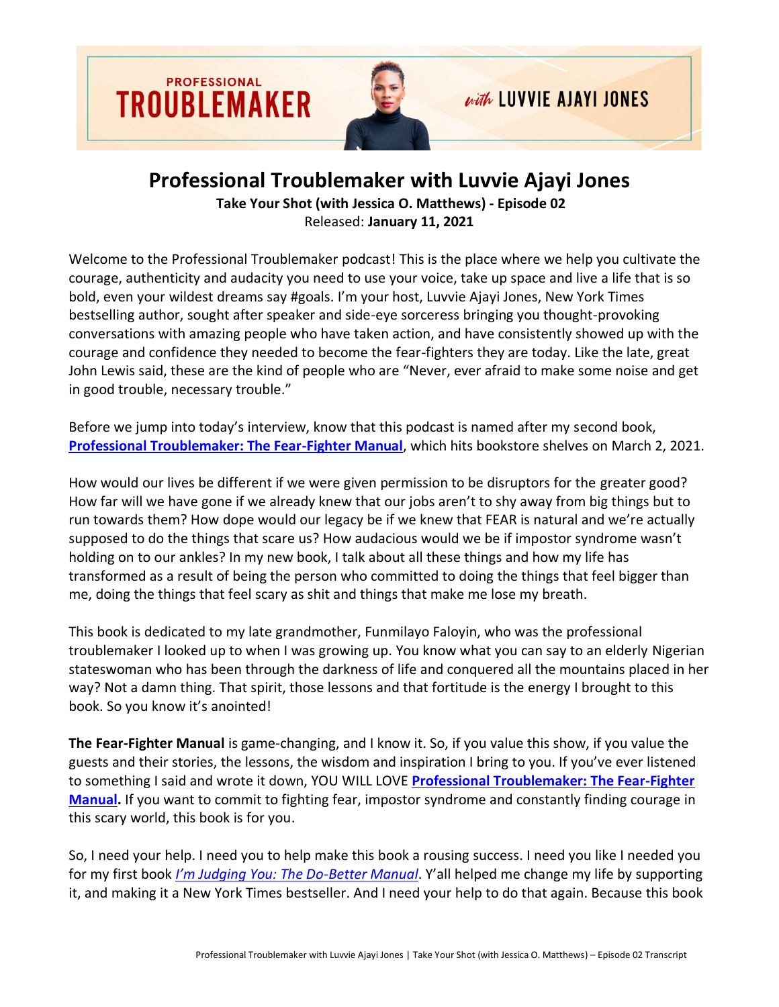

## **Professional Troublemaker with Luvvie Ajayi Jones**

**Take Your Shot (with Jessica O. Matthews) - Episode 02** Released: **January 11, 2021**

Welcome to the Professional Troublemaker podcast! This is the place where we help you cultivate the courage, authenticity and audacity you need to use your voice, take up space and live a life that is so bold, even your wildest dreams say #goals. I'm your host, Luvvie Ajayi Jones, New York Times bestselling author, sought after speaker and side-eye sorceress bringing you thought-provoking conversations with amazing people who have taken action, and have consistently showed up with the courage and confidence they needed to become the fear-fighters they are today. Like the late, great John Lewis said, these are the kind of people who are "Never, ever afraid to make some noise and get in good trouble, necessary trouble."

Before we jump into today's interview, know that this podcast is named after my second book, **[Professional Troublemaker: The Fear-Fighter Manual](http://professionaltroublemakerbook.com/)**, which hits bookstore shelves on March 2, 2021.

How would our lives be different if we were given permission to be disruptors for the greater good? How far will we have gone if we already knew that our jobs aren't to shy away from big things but to run towards them? How dope would our legacy be if we knew that FEAR is natural and we're actually supposed to do the things that scare us? How audacious would we be if impostor syndrome wasn't holding on to our ankles? In my new book, I talk about all these things and how my life has transformed as a result of being the person who committed to doing the things that feel bigger than me, doing the things that feel scary as shit and things that make me lose my breath.

This book is dedicated to my late grandmother, Funmilayo Faloyin, who was the professional troublemaker I looked up to when I was growing up. You know what you can say to an elderly Nigerian stateswoman who has been through the darkness of life and conquered all the mountains placed in her way? Not a damn thing. That spirit, those lessons and that fortitude is the energy I brought to this book. So you know it's anointed!

**The Fear-Fighter Manual** is game-changing, and I know it. So, if you value this show, if you value the guests and their stories, the lessons, the wisdom and inspiration I bring to you. If you've ever listened to something I said and wrote it down, YOU WILL LOVE **[Professional Troublemaker: The Fear-Fighter](http://professionaltroublemakerbook.com/)  [Manual.](http://professionaltroublemakerbook.com/)** If you want to commit to fighting fear, impostor syndrome and constantly finding courage in this scary world, this book is for you.

So, I need your help. I need you to help make this book a rousing success. I need you like I needed you for my first book *[I'm Judging You: The Do](https://amzn.to/3i8WHUP)-Better Manual*. Y'all helped me change my life by supporting it, and making it a New York Times bestseller. And I need your help to do that again. Because this book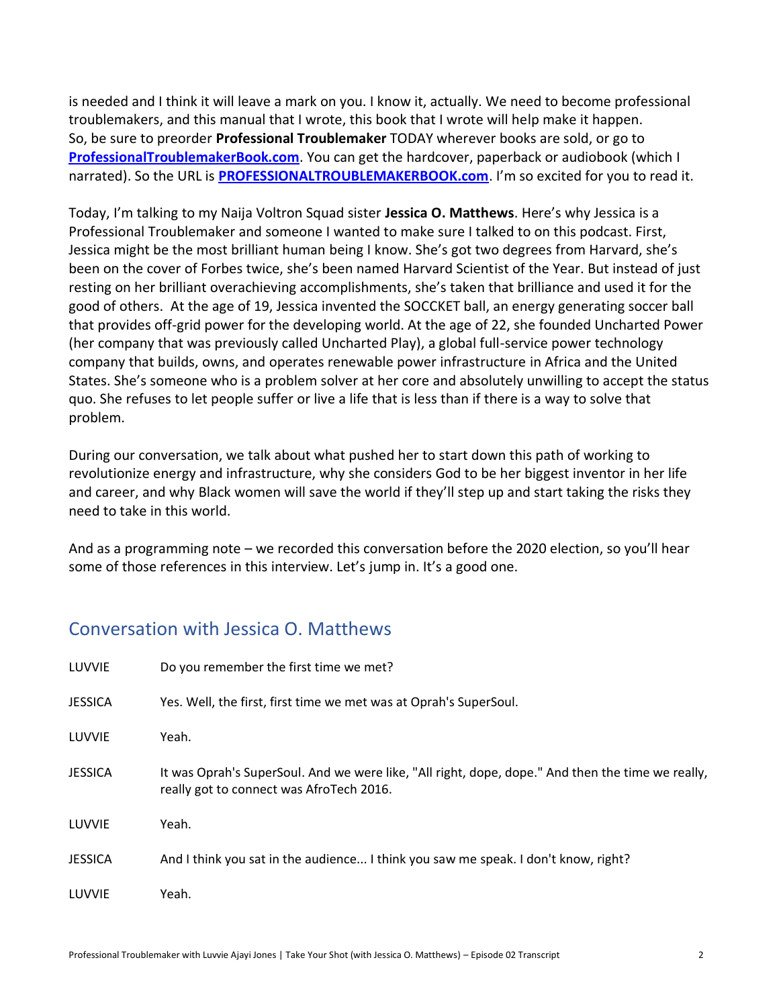is needed and I think it will leave a mark on you. I know it, actually. We need to become professional troublemakers, and this manual that I wrote, this book that I wrote will help make it happen. So, be sure to preorder **Professional Troublemaker** TODAY wherever books are sold, or go to **[ProfessionalTroublemakerBook.com](http://professionaltroublemakerbook.com/)**. You can get the hardcover, paperback or audiobook (which I narrated). So the URL is **[PROFESSIONALTROUBLEMAKERBOOK.com](http://professionaltroublemakerbook.com/)**. I'm so excited for you to read it.

Today, I'm talking to my Naija Voltron Squad sister **Jessica O. Matthews**. Here's why Jessica is a Professional Troublemaker and someone I wanted to make sure I talked to on this podcast. First, Jessica might be the most brilliant human being I know. She's got two degrees from Harvard, she's been on the cover of Forbes twice, she's been named Harvard Scientist of the Year. But instead of just resting on her brilliant overachieving accomplishments, she's taken that brilliance and used it for the good of others. At the age of 19, Jessica invented the SOCCKET ball, an energy generating soccer ball that provides off-grid power for the developing world. At the age of 22, she founded Uncharted Power (her company that was previously called Uncharted Play), a global full-service power technology company that builds, owns, and operates renewable power infrastructure in Africa and the United States. She's someone who is a problem solver at her core and absolutely unwilling to accept the status quo. She refuses to let people suffer or live a life that is less than if there is a way to solve that problem.

During our conversation, we talk about what pushed her to start down this path of working to revolutionize energy and infrastructure, why she considers God to be her biggest inventor in her life and career, and why Black women will save the world if they'll step up and start taking the risks they need to take in this world.

And as a programming note – we recorded this conversation before the 2020 election, so you'll hear some of those references in this interview. Let's jump in. It's a good one.

## Conversation with Jessica O. Matthews

| LUVVIE         | Do you remember the first time we met?                                                                                                        |
|----------------|-----------------------------------------------------------------------------------------------------------------------------------------------|
| <b>JESSICA</b> | Yes. Well, the first, first time we met was at Oprah's SuperSoul.                                                                             |
| LUVVIE         | Yeah.                                                                                                                                         |
| <b>JESSICA</b> | It was Oprah's SuperSoul. And we were like, "All right, dope, dope." And then the time we really,<br>really got to connect was AfroTech 2016. |
| LUVVIE         | Yeah.                                                                                                                                         |
| <b>JESSICA</b> | And I think you sat in the audience I think you saw me speak. I don't know, right?                                                            |
| LUVVIE         | Yeah.                                                                                                                                         |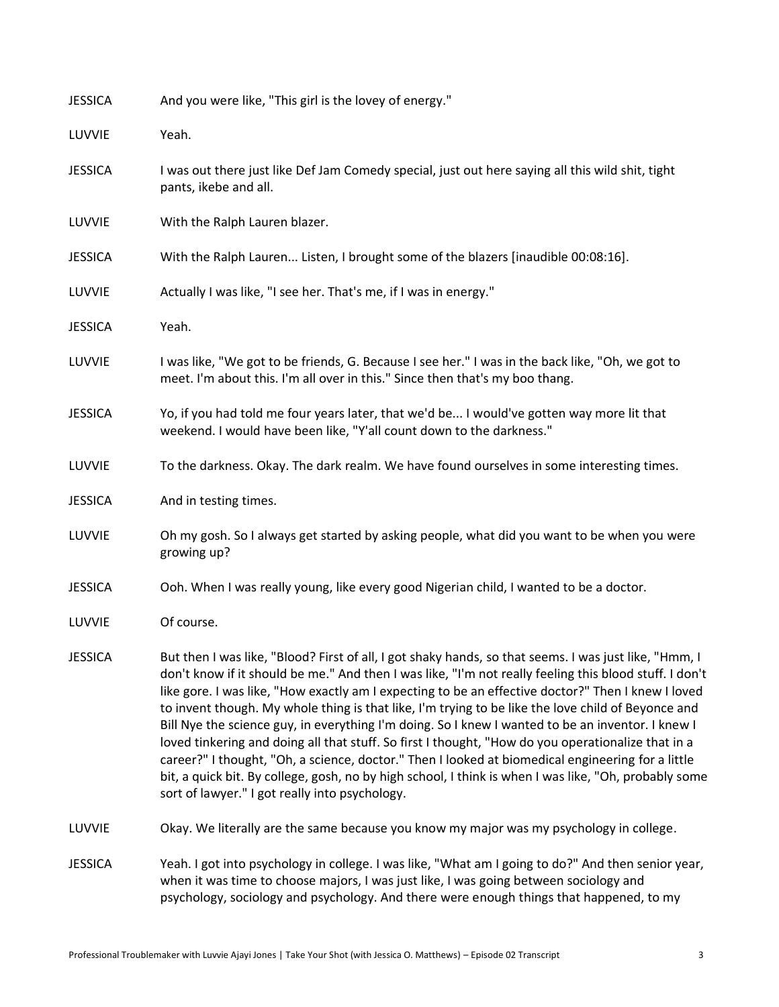| <b>JESSICA</b> | And you were like, "This girl is the lovey of energy."                                                                                                                                                                                                                                                                                                                                                                                                                                                                                                                                                                                                                                                                                                                                                                                                                                                 |
|----------------|--------------------------------------------------------------------------------------------------------------------------------------------------------------------------------------------------------------------------------------------------------------------------------------------------------------------------------------------------------------------------------------------------------------------------------------------------------------------------------------------------------------------------------------------------------------------------------------------------------------------------------------------------------------------------------------------------------------------------------------------------------------------------------------------------------------------------------------------------------------------------------------------------------|
| LUVVIE         | Yeah.                                                                                                                                                                                                                                                                                                                                                                                                                                                                                                                                                                                                                                                                                                                                                                                                                                                                                                  |
| <b>JESSICA</b> | I was out there just like Def Jam Comedy special, just out here saying all this wild shit, tight<br>pants, ikebe and all.                                                                                                                                                                                                                                                                                                                                                                                                                                                                                                                                                                                                                                                                                                                                                                              |
| LUVVIE         | With the Ralph Lauren blazer.                                                                                                                                                                                                                                                                                                                                                                                                                                                                                                                                                                                                                                                                                                                                                                                                                                                                          |
| <b>JESSICA</b> | With the Ralph Lauren Listen, I brought some of the blazers [inaudible 00:08:16].                                                                                                                                                                                                                                                                                                                                                                                                                                                                                                                                                                                                                                                                                                                                                                                                                      |
| LUVVIE         | Actually I was like, "I see her. That's me, if I was in energy."                                                                                                                                                                                                                                                                                                                                                                                                                                                                                                                                                                                                                                                                                                                                                                                                                                       |
| <b>JESSICA</b> | Yeah.                                                                                                                                                                                                                                                                                                                                                                                                                                                                                                                                                                                                                                                                                                                                                                                                                                                                                                  |
| LUVVIE         | I was like, "We got to be friends, G. Because I see her." I was in the back like, "Oh, we got to<br>meet. I'm about this. I'm all over in this." Since then that's my boo thang.                                                                                                                                                                                                                                                                                                                                                                                                                                                                                                                                                                                                                                                                                                                       |
| <b>JESSICA</b> | Yo, if you had told me four years later, that we'd be I would've gotten way more lit that<br>weekend. I would have been like, "Y'all count down to the darkness."                                                                                                                                                                                                                                                                                                                                                                                                                                                                                                                                                                                                                                                                                                                                      |
| LUVVIE         | To the darkness. Okay. The dark realm. We have found ourselves in some interesting times.                                                                                                                                                                                                                                                                                                                                                                                                                                                                                                                                                                                                                                                                                                                                                                                                              |
| <b>JESSICA</b> | And in testing times.                                                                                                                                                                                                                                                                                                                                                                                                                                                                                                                                                                                                                                                                                                                                                                                                                                                                                  |
| LUVVIE         | Oh my gosh. So I always get started by asking people, what did you want to be when you were<br>growing up?                                                                                                                                                                                                                                                                                                                                                                                                                                                                                                                                                                                                                                                                                                                                                                                             |
| <b>JESSICA</b> | Ooh. When I was really young, like every good Nigerian child, I wanted to be a doctor.                                                                                                                                                                                                                                                                                                                                                                                                                                                                                                                                                                                                                                                                                                                                                                                                                 |
| LUVVIE         | Of course.                                                                                                                                                                                                                                                                                                                                                                                                                                                                                                                                                                                                                                                                                                                                                                                                                                                                                             |
| <b>JESSICA</b> | But then I was like, "Blood? First of all, I got shaky hands, so that seems. I was just like, "Hmm, I<br>don't know if it should be me." And then I was like, "I'm not really feeling this blood stuff. I don't<br>like gore. I was like, "How exactly am I expecting to be an effective doctor?" Then I knew I loved<br>to invent though. My whole thing is that like, I'm trying to be like the love child of Beyonce and<br>Bill Nye the science guy, in everything I'm doing. So I knew I wanted to be an inventor. I knew I<br>loved tinkering and doing all that stuff. So first I thought, "How do you operationalize that in a<br>career?" I thought, "Oh, a science, doctor." Then I looked at biomedical engineering for a little<br>bit, a quick bit. By college, gosh, no by high school, I think is when I was like, "Oh, probably some<br>sort of lawyer." I got really into psychology. |
| LUVVIE         | Okay. We literally are the same because you know my major was my psychology in college.                                                                                                                                                                                                                                                                                                                                                                                                                                                                                                                                                                                                                                                                                                                                                                                                                |
| <b>JESSICA</b> | Yeah. I got into psychology in college. I was like, "What am I going to do?" And then senior year,<br>when it was time to choose majors, I was just like, I was going between sociology and<br>psychology, sociology and psychology. And there were enough things that happened, to my                                                                                                                                                                                                                                                                                                                                                                                                                                                                                                                                                                                                                 |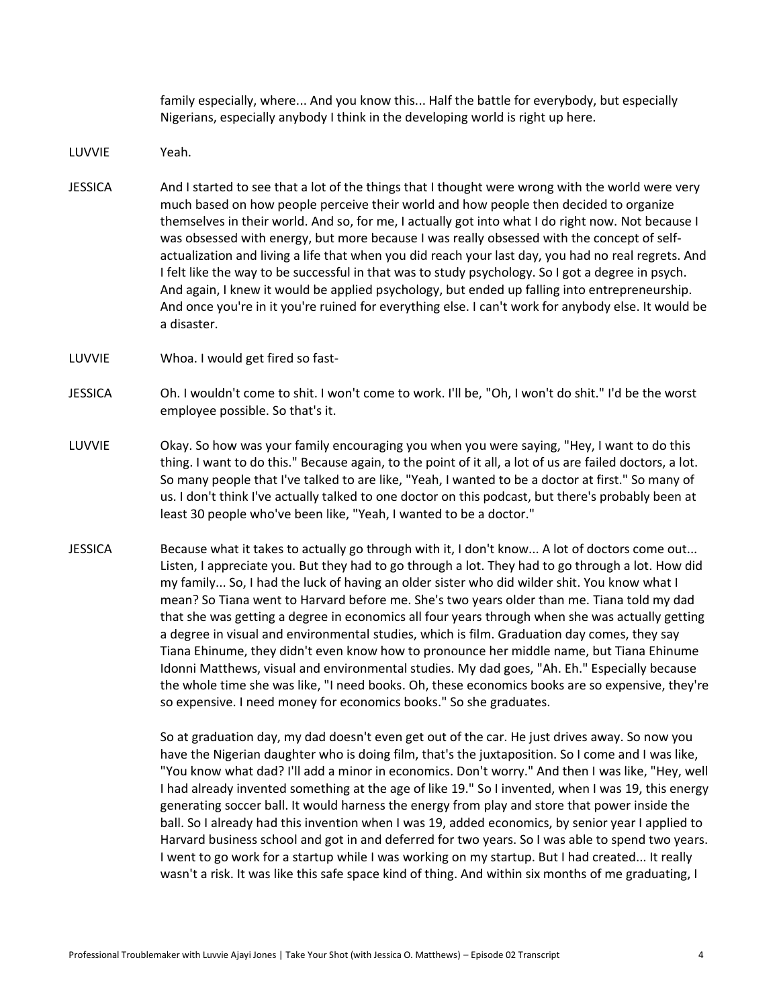family especially, where... And you know this... Half the battle for everybody, but especially Nigerians, especially anybody I think in the developing world is right up here.

- LUVVIE Yeah.
- JESSICA And I started to see that a lot of the things that I thought were wrong with the world were very much based on how people perceive their world and how people then decided to organize themselves in their world. And so, for me, I actually got into what I do right now. Not because I was obsessed with energy, but more because I was really obsessed with the concept of selfactualization and living a life that when you did reach your last day, you had no real regrets. And I felt like the way to be successful in that was to study psychology. So I got a degree in psych. And again, I knew it would be applied psychology, but ended up falling into entrepreneurship. And once you're in it you're ruined for everything else. I can't work for anybody else. It would be a disaster.
- LUVVIE Whoa. I would get fired so fast-
- JESSICA Oh. I wouldn't come to shit. I won't come to work. I'll be, "Oh, I won't do shit." I'd be the worst employee possible. So that's it.
- LUVVIE Okay. So how was your family encouraging you when you were saying, "Hey, I want to do this thing. I want to do this." Because again, to the point of it all, a lot of us are failed doctors, a lot. So many people that I've talked to are like, "Yeah, I wanted to be a doctor at first." So many of us. I don't think I've actually talked to one doctor on this podcast, but there's probably been at least 30 people who've been like, "Yeah, I wanted to be a doctor."
- JESSICA Because what it takes to actually go through with it, I don't know... A lot of doctors come out... Listen, I appreciate you. But they had to go through a lot. They had to go through a lot. How did my family... So, I had the luck of having an older sister who did wilder shit. You know what I mean? So Tiana went to Harvard before me. She's two years older than me. Tiana told my dad that she was getting a degree in economics all four years through when she was actually getting a degree in visual and environmental studies, which is film. Graduation day comes, they say Tiana Ehinume, they didn't even know how to pronounce her middle name, but Tiana Ehinume Idonni Matthews, visual and environmental studies. My dad goes, "Ah. Eh." Especially because the whole time she was like, "I need books. Oh, these economics books are so expensive, they're so expensive. I need money for economics books." So she graduates.

So at graduation day, my dad doesn't even get out of the car. He just drives away. So now you have the Nigerian daughter who is doing film, that's the juxtaposition. So I come and I was like, "You know what dad? I'll add a minor in economics. Don't worry." And then I was like, "Hey, well I had already invented something at the age of like 19." So I invented, when I was 19, this energy generating soccer ball. It would harness the energy from play and store that power inside the ball. So I already had this invention when I was 19, added economics, by senior year I applied to Harvard business school and got in and deferred for two years. So I was able to spend two years. I went to go work for a startup while I was working on my startup. But I had created... It really wasn't a risk. It was like this safe space kind of thing. And within six months of me graduating, I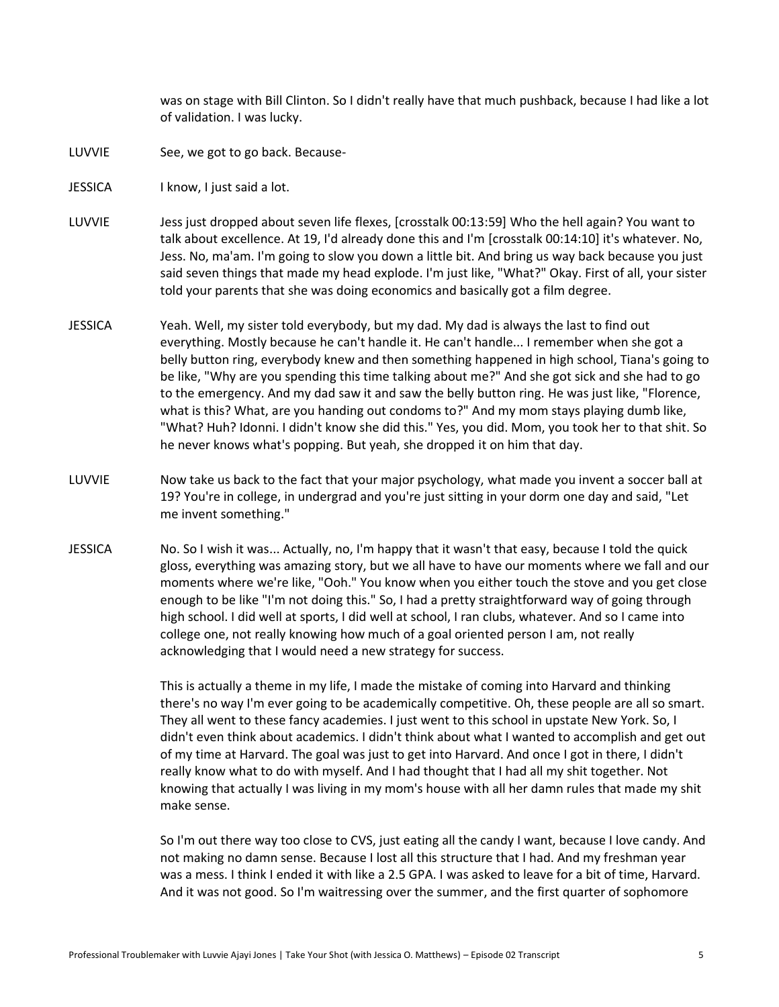was on stage with Bill Clinton. So I didn't really have that much pushback, because I had like a lot of validation. I was lucky.

- LUVVIE See, we got to go back. Because-
- JESSICA I know, I just said a lot.
- LUVVIE Jess just dropped about seven life flexes, [crosstalk 00:13:59] Who the hell again? You want to talk about excellence. At 19, I'd already done this and I'm [crosstalk 00:14:10] it's whatever. No, Jess. No, ma'am. I'm going to slow you down a little bit. And bring us way back because you just said seven things that made my head explode. I'm just like, "What?" Okay. First of all, your sister told your parents that she was doing economics and basically got a film degree.
- JESSICA Yeah. Well, my sister told everybody, but my dad. My dad is always the last to find out everything. Mostly because he can't handle it. He can't handle... I remember when she got a belly button ring, everybody knew and then something happened in high school, Tiana's going to be like, "Why are you spending this time talking about me?" And she got sick and she had to go to the emergency. And my dad saw it and saw the belly button ring. He was just like, "Florence, what is this? What, are you handing out condoms to?" And my mom stays playing dumb like, "What? Huh? Idonni. I didn't know she did this." Yes, you did. Mom, you took her to that shit. So he never knows what's popping. But yeah, she dropped it on him that day.
- LUVVIE Now take us back to the fact that your major psychology, what made you invent a soccer ball at 19? You're in college, in undergrad and you're just sitting in your dorm one day and said, "Let me invent something."
- JESSICA No. So I wish it was... Actually, no, I'm happy that it wasn't that easy, because I told the quick gloss, everything was amazing story, but we all have to have our moments where we fall and our moments where we're like, "Ooh." You know when you either touch the stove and you get close enough to be like "I'm not doing this." So, I had a pretty straightforward way of going through high school. I did well at sports, I did well at school, I ran clubs, whatever. And so I came into college one, not really knowing how much of a goal oriented person I am, not really acknowledging that I would need a new strategy for success.

This is actually a theme in my life, I made the mistake of coming into Harvard and thinking there's no way I'm ever going to be academically competitive. Oh, these people are all so smart. They all went to these fancy academies. I just went to this school in upstate New York. So, I didn't even think about academics. I didn't think about what I wanted to accomplish and get out of my time at Harvard. The goal was just to get into Harvard. And once I got in there, I didn't really know what to do with myself. And I had thought that I had all my shit together. Not knowing that actually I was living in my mom's house with all her damn rules that made my shit make sense.

So I'm out there way too close to CVS, just eating all the candy I want, because I love candy. And not making no damn sense. Because I lost all this structure that I had. And my freshman year was a mess. I think I ended it with like a 2.5 GPA. I was asked to leave for a bit of time, Harvard. And it was not good. So I'm waitressing over the summer, and the first quarter of sophomore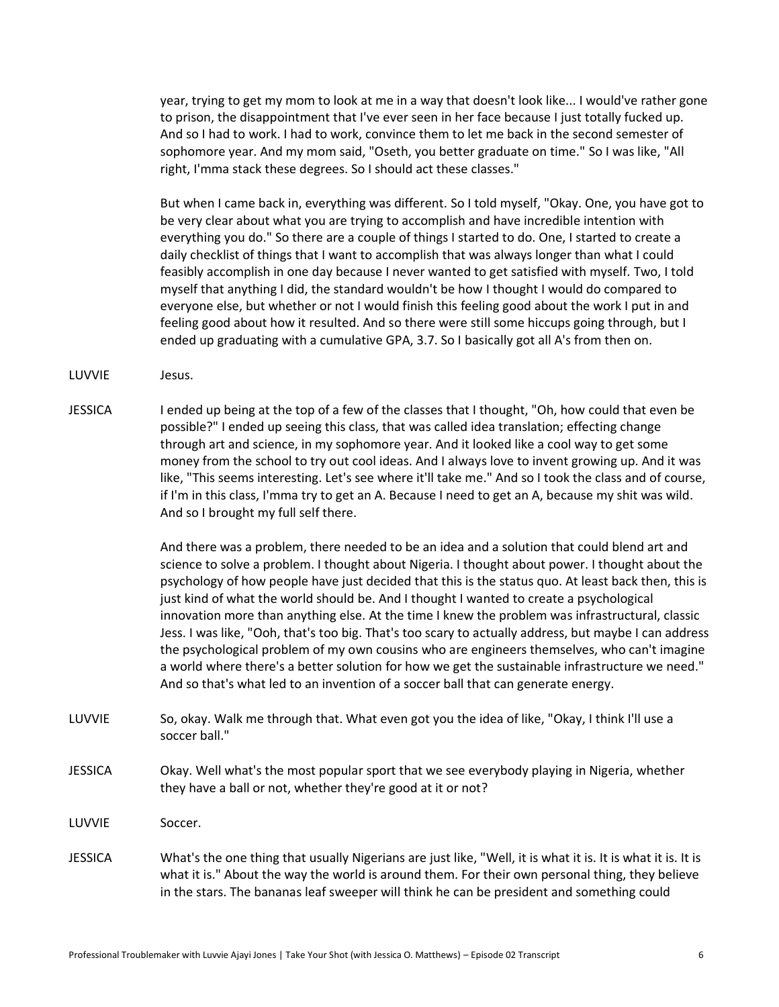year, trying to get my mom to look at me in a way that doesn't look like... I would've rather gone to prison, the disappointment that I've ever seen in her face because I just totally fucked up. And so I had to work. I had to work, convince them to let me back in the second semester of sophomore year. And my mom said, "Oseth, you better graduate on time." So I was like, "All right, I'mma stack these degrees. So I should act these classes."

But when I came back in, everything was different. So I told myself, "Okay. One, you have got to be very clear about what you are trying to accomplish and have incredible intention with everything you do." So there are a couple of things I started to do. One, I started to create a daily checklist of things that I want to accomplish that was always longer than what I could feasibly accomplish in one day because I never wanted to get satisfied with myself. Two, I told myself that anything I did, the standard wouldn't be how I thought I would do compared to everyone else, but whether or not I would finish this feeling good about the work I put in and feeling good about how it resulted. And so there were still some hiccups going through, but I ended up graduating with a cumulative GPA, 3.7. So I basically got all A's from then on.

- LUVVIE Jesus.
- JESSICA I ended up being at the top of a few of the classes that I thought, "Oh, how could that even be possible?" I ended up seeing this class, that was called idea translation; effecting change through art and science, in my sophomore year. And it looked like a cool way to get some money from the school to try out cool ideas. And I always love to invent growing up. And it was like, "This seems interesting. Let's see where it'll take me." And so I took the class and of course, if I'm in this class, I'mma try to get an A. Because I need to get an A, because my shit was wild. And so I brought my full self there.

And there was a problem, there needed to be an idea and a solution that could blend art and science to solve a problem. I thought about Nigeria. I thought about power. I thought about the psychology of how people have just decided that this is the status quo. At least back then, this is just kind of what the world should be. And I thought I wanted to create a psychological innovation more than anything else. At the time I knew the problem was infrastructural, classic Jess. I was like, "Ooh, that's too big. That's too scary to actually address, but maybe I can address the psychological problem of my own cousins who are engineers themselves, who can't imagine a world where there's a better solution for how we get the sustainable infrastructure we need." And so that's what led to an invention of a soccer ball that can generate energy.

- LUVVIE So, okay. Walk me through that. What even got you the idea of like, "Okay, I think I'll use a soccer ball."
- JESSICA Okay. Well what's the most popular sport that we see everybody playing in Nigeria, whether they have a ball or not, whether they're good at it or not?
- LUVVIE Soccer.
- JESSICA What's the one thing that usually Nigerians are just like, "Well, it is what it is. It is what it is. It is what it is." About the way the world is around them. For their own personal thing, they believe in the stars. The bananas leaf sweeper will think he can be president and something could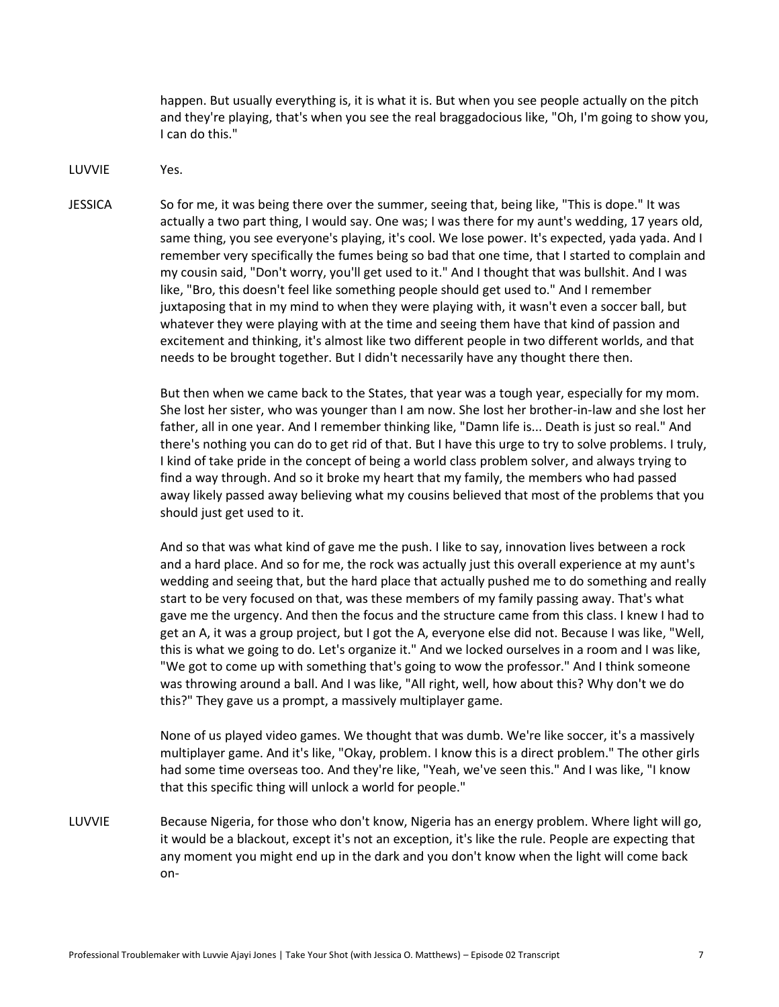happen. But usually everything is, it is what it is. But when you see people actually on the pitch and they're playing, that's when you see the real braggadocious like, "Oh, I'm going to show you, I can do this."

LUVVIE Yes.

JESSICA So for me, it was being there over the summer, seeing that, being like, "This is dope." It was actually a two part thing, I would say. One was; I was there for my aunt's wedding, 17 years old, same thing, you see everyone's playing, it's cool. We lose power. It's expected, yada yada. And I remember very specifically the fumes being so bad that one time, that I started to complain and my cousin said, "Don't worry, you'll get used to it." And I thought that was bullshit. And I was like, "Bro, this doesn't feel like something people should get used to." And I remember juxtaposing that in my mind to when they were playing with, it wasn't even a soccer ball, but whatever they were playing with at the time and seeing them have that kind of passion and excitement and thinking, it's almost like two different people in two different worlds, and that needs to be brought together. But I didn't necessarily have any thought there then.

> But then when we came back to the States, that year was a tough year, especially for my mom. She lost her sister, who was younger than I am now. She lost her brother-in-law and she lost her father, all in one year. And I remember thinking like, "Damn life is... Death is just so real." And there's nothing you can do to get rid of that. But I have this urge to try to solve problems. I truly, I kind of take pride in the concept of being a world class problem solver, and always trying to find a way through. And so it broke my heart that my family, the members who had passed away likely passed away believing what my cousins believed that most of the problems that you should just get used to it.

> And so that was what kind of gave me the push. I like to say, innovation lives between a rock and a hard place. And so for me, the rock was actually just this overall experience at my aunt's wedding and seeing that, but the hard place that actually pushed me to do something and really start to be very focused on that, was these members of my family passing away. That's what gave me the urgency. And then the focus and the structure came from this class. I knew I had to get an A, it was a group project, but I got the A, everyone else did not. Because I was like, "Well, this is what we going to do. Let's organize it." And we locked ourselves in a room and I was like, "We got to come up with something that's going to wow the professor." And I think someone was throwing around a ball. And I was like, "All right, well, how about this? Why don't we do this?" They gave us a prompt, a massively multiplayer game.

None of us played video games. We thought that was dumb. We're like soccer, it's a massively multiplayer game. And it's like, "Okay, problem. I know this is a direct problem." The other girls had some time overseas too. And they're like, "Yeah, we've seen this." And I was like, "I know that this specific thing will unlock a world for people."

LUVVIE Because Nigeria, for those who don't know, Nigeria has an energy problem. Where light will go, it would be a blackout, except it's not an exception, it's like the rule. People are expecting that any moment you might end up in the dark and you don't know when the light will come back on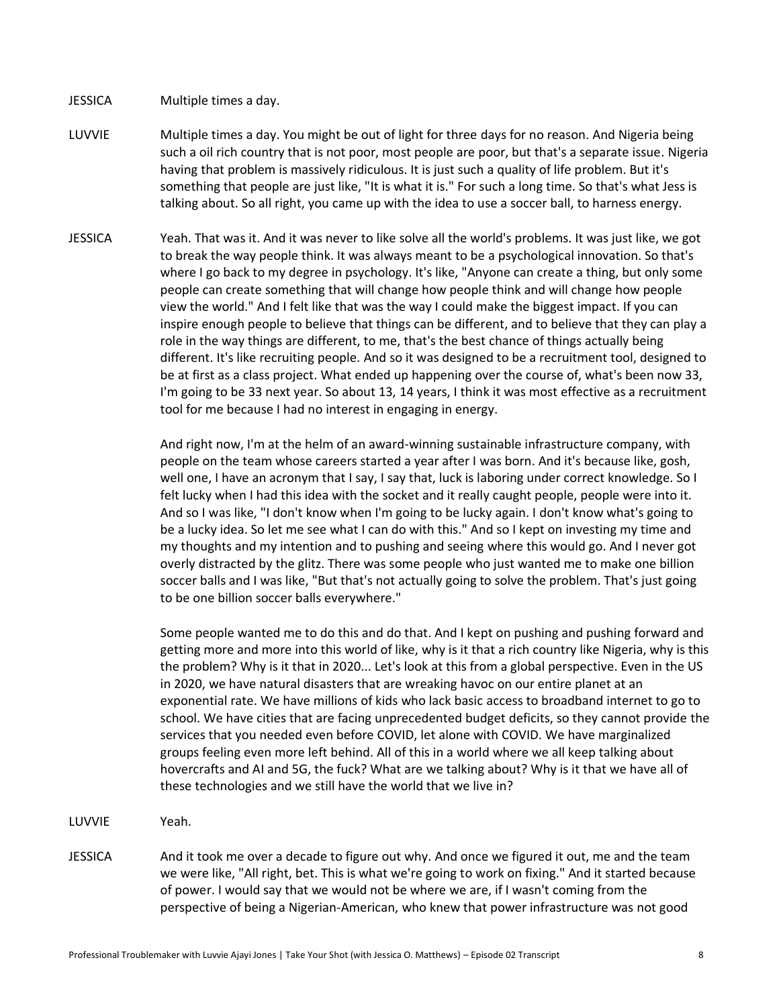JESSICA Multiple times a day.

- LUVVIE Multiple times a day. You might be out of light for three days for no reason. And Nigeria being such a oil rich country that is not poor, most people are poor, but that's a separate issue. Nigeria having that problem is massively ridiculous. It is just such a quality of life problem. But it's something that people are just like, "It is what it is." For such a long time. So that's what Jess is talking about. So all right, you came up with the idea to use a soccer ball, to harness energy.
- JESSICA Yeah. That was it. And it was never to like solve all the world's problems. It was just like, we got to break the way people think. It was always meant to be a psychological innovation. So that's where I go back to my degree in psychology. It's like, "Anyone can create a thing, but only some people can create something that will change how people think and will change how people view the world." And I felt like that was the way I could make the biggest impact. If you can inspire enough people to believe that things can be different, and to believe that they can play a role in the way things are different, to me, that's the best chance of things actually being different. It's like recruiting people. And so it was designed to be a recruitment tool, designed to be at first as a class project. What ended up happening over the course of, what's been now 33, I'm going to be 33 next year. So about 13, 14 years, I think it was most effective as a recruitment tool for me because I had no interest in engaging in energy.

And right now, I'm at the helm of an award-winning sustainable infrastructure company, with people on the team whose careers started a year after I was born. And it's because like, gosh, well one, I have an acronym that I say, I say that, luck is laboring under correct knowledge. So I felt lucky when I had this idea with the socket and it really caught people, people were into it. And so I was like, "I don't know when I'm going to be lucky again. I don't know what's going to be a lucky idea. So let me see what I can do with this." And so I kept on investing my time and my thoughts and my intention and to pushing and seeing where this would go. And I never got overly distracted by the glitz. There was some people who just wanted me to make one billion soccer balls and I was like, "But that's not actually going to solve the problem. That's just going to be one billion soccer balls everywhere."

Some people wanted me to do this and do that. And I kept on pushing and pushing forward and getting more and more into this world of like, why is it that a rich country like Nigeria, why is this the problem? Why is it that in 2020... Let's look at this from a global perspective. Even in the US in 2020, we have natural disasters that are wreaking havoc on our entire planet at an exponential rate. We have millions of kids who lack basic access to broadband internet to go to school. We have cities that are facing unprecedented budget deficits, so they cannot provide the services that you needed even before COVID, let alone with COVID. We have marginalized groups feeling even more left behind. All of this in a world where we all keep talking about hovercrafts and AI and 5G, the fuck? What are we talking about? Why is it that we have all of these technologies and we still have the world that we live in?

- LUVVIE Yeah.
- JESSICA And it took me over a decade to figure out why. And once we figured it out, me and the team we were like, "All right, bet. This is what we're going to work on fixing." And it started because of power. I would say that we would not be where we are, if I wasn't coming from the perspective of being a Nigerian-American, who knew that power infrastructure was not good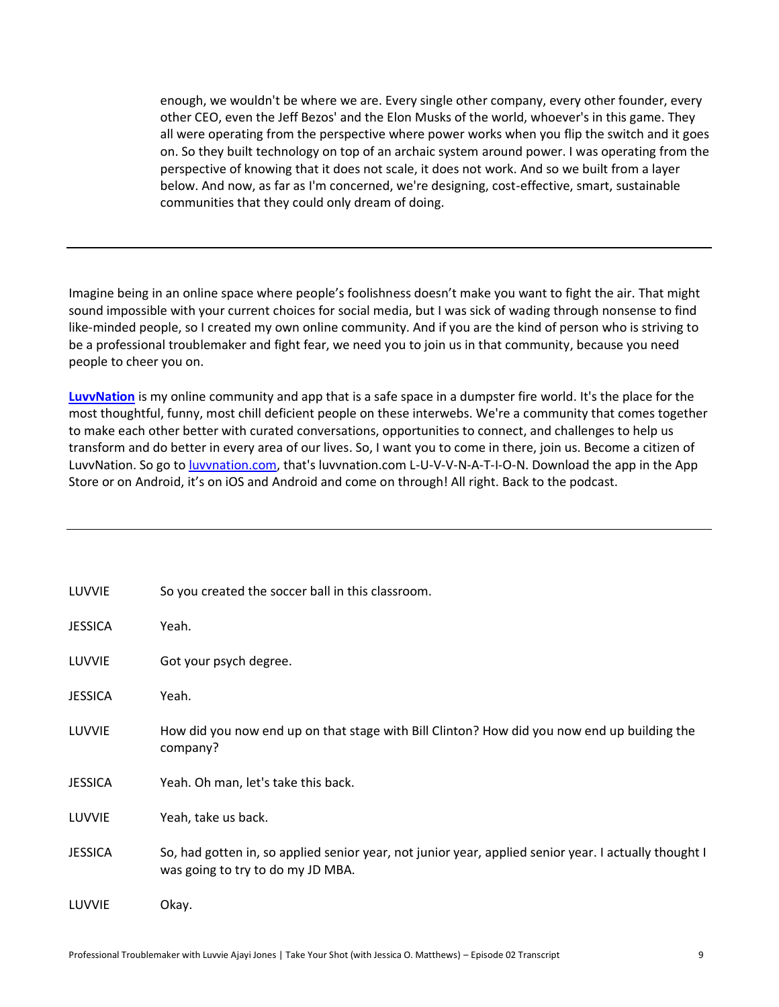enough, we wouldn't be where we are. Every single other company, every other founder, every other CEO, even the Jeff Bezos' and the Elon Musks of the world, whoever's in this game. They all were operating from the perspective where power works when you flip the switch and it goes on. So they built technology on top of an archaic system around power. I was operating from the perspective of knowing that it does not scale, it does not work. And so we built from a layer below. And now, as far as I'm concerned, we're designing, cost-effective, smart, sustainable communities that they could only dream of doing.

Imagine being in an online space where people's foolishness doesn't make you want to fight the air. That might sound impossible with your current choices for social media, but I was sick of wading through nonsense to find like-minded people, so I created my own online community. And if you are the kind of person who is striving to be a professional troublemaker and fight fear, we need you to join us in that community, because you need people to cheer you on.

**[LuvvNation](http://luvvnation.com/)** is my online community and app that is a safe space in a dumpster fire world. It's the place for the most thoughtful, funny, most chill deficient people on these interwebs. We're a community that comes together to make each other better with curated conversations, opportunities to connect, and challenges to help us transform and do better in every area of our lives. So, I want you to come in there, join us. Become a citizen of LuvvNation. So go t[o luvvnation.com,](http://luvvnation.com/) that's luvvnation.com L-U-V-V-N-A-T-I-O-N. Download the app in the App Store or on Android, it's on iOS and Android and come on through! All right. Back to the podcast.

| LUVVIE         | So you created the soccer ball in this classroom.                                                                                          |
|----------------|--------------------------------------------------------------------------------------------------------------------------------------------|
| <b>JESSICA</b> | Yeah.                                                                                                                                      |
| LUVVIE         | Got your psych degree.                                                                                                                     |
| <b>JESSICA</b> | Yeah.                                                                                                                                      |
| LUVVIE         | How did you now end up on that stage with Bill Clinton? How did you now end up building the<br>company?                                    |
| <b>JESSICA</b> | Yeah. Oh man, let's take this back.                                                                                                        |
| LUVVIE         | Yeah, take us back.                                                                                                                        |
| <b>JESSICA</b> | So, had gotten in, so applied senior year, not junior year, applied senior year. I actually thought I<br>was going to try to do my JD MBA. |
| LUVVIE         | Okay.                                                                                                                                      |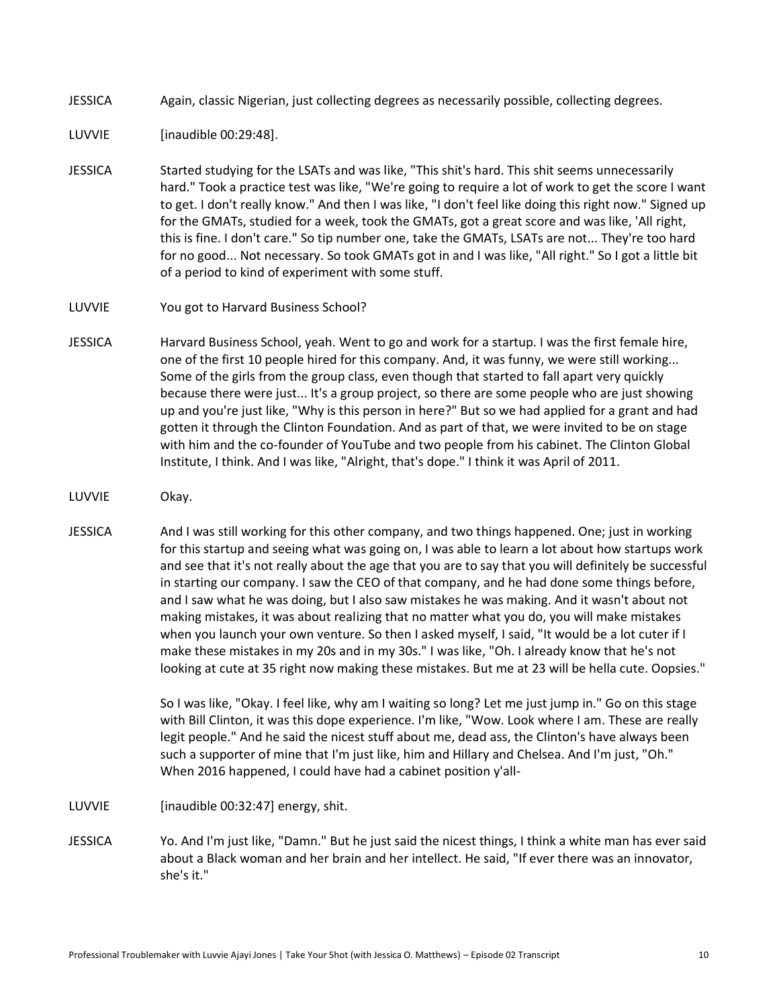JESSICA Again, classic Nigerian, just collecting degrees as necessarily possible, collecting degrees.

LUVVIE [inaudible 00:29:48].

- JESSICA Started studying for the LSATs and was like, "This shit's hard. This shit seems unnecessarily hard." Took a practice test was like, "We're going to require a lot of work to get the score I want to get. I don't really know." And then I was like, "I don't feel like doing this right now." Signed up for the GMATs, studied for a week, took the GMATs, got a great score and was like, 'All right, this is fine. I don't care." So tip number one, take the GMATs, LSATs are not... They're too hard for no good... Not necessary. So took GMATs got in and I was like, "All right." So I got a little bit of a period to kind of experiment with some stuff.
- LUVVIE You got to Harvard Business School?
- JESSICA Harvard Business School, yeah. Went to go and work for a startup. I was the first female hire, one of the first 10 people hired for this company. And, it was funny, we were still working... Some of the girls from the group class, even though that started to fall apart very quickly because there were just... It's a group project, so there are some people who are just showing up and you're just like, "Why is this person in here?" But so we had applied for a grant and had gotten it through the Clinton Foundation. And as part of that, we were invited to be on stage with him and the co-founder of YouTube and two people from his cabinet. The Clinton Global Institute, I think. And I was like, "Alright, that's dope." I think it was April of 2011.
- LUVVIE Okay.
- JESSICA And I was still working for this other company, and two things happened. One; just in working for this startup and seeing what was going on, I was able to learn a lot about how startups work and see that it's not really about the age that you are to say that you will definitely be successful in starting our company. I saw the CEO of that company, and he had done some things before, and I saw what he was doing, but I also saw mistakes he was making. And it wasn't about not making mistakes, it was about realizing that no matter what you do, you will make mistakes when you launch your own venture. So then I asked myself, I said, "It would be a lot cuter if I make these mistakes in my 20s and in my 30s." I was like, "Oh. I already know that he's not looking at cute at 35 right now making these mistakes. But me at 23 will be hella cute. Oopsies."

So I was like, "Okay. I feel like, why am I waiting so long? Let me just jump in." Go on this stage with Bill Clinton, it was this dope experience. I'm like, "Wow. Look where I am. These are really legit people." And he said the nicest stuff about me, dead ass, the Clinton's have always been such a supporter of mine that I'm just like, him and Hillary and Chelsea. And I'm just, "Oh." When 2016 happened, I could have had a cabinet position y'all-

- LUVVIE [inaudible 00:32:47] energy, shit.
- JESSICA Yo. And I'm just like, "Damn." But he just said the nicest things, I think a white man has ever said about a Black woman and her brain and her intellect. He said, "If ever there was an innovator, she's it."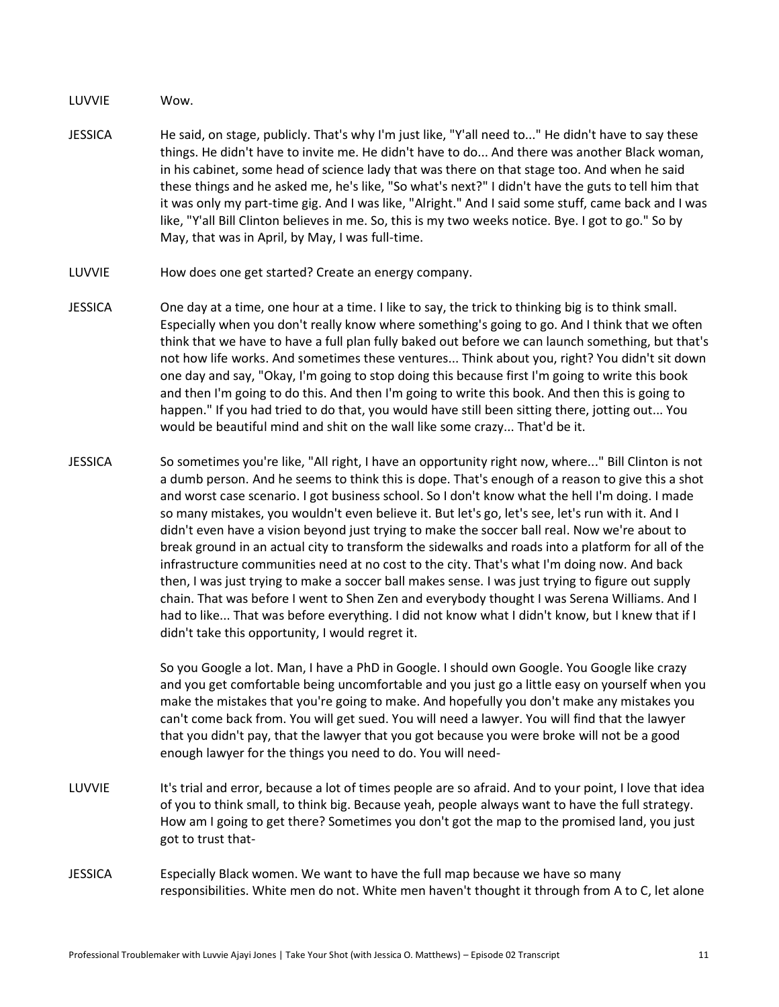LUVVIE Wow.

- JESSICA He said, on stage, publicly. That's why I'm just like, "Y'all need to..." He didn't have to say these things. He didn't have to invite me. He didn't have to do... And there was another Black woman, in his cabinet, some head of science lady that was there on that stage too. And when he said these things and he asked me, he's like, "So what's next?" I didn't have the guts to tell him that it was only my part-time gig. And I was like, "Alright." And I said some stuff, came back and I was like, "Y'all Bill Clinton believes in me. So, this is my two weeks notice. Bye. I got to go." So by May, that was in April, by May, I was full-time.
- LUVVIE How does one get started? Create an energy company.
- JESSICA One day at a time, one hour at a time. I like to say, the trick to thinking big is to think small. Especially when you don't really know where something's going to go. And I think that we often think that we have to have a full plan fully baked out before we can launch something, but that's not how life works. And sometimes these ventures... Think about you, right? You didn't sit down one day and say, "Okay, I'm going to stop doing this because first I'm going to write this book and then I'm going to do this. And then I'm going to write this book. And then this is going to happen." If you had tried to do that, you would have still been sitting there, jotting out... You would be beautiful mind and shit on the wall like some crazy... That'd be it.
- JESSICA So sometimes you're like, "All right, I have an opportunity right now, where..." Bill Clinton is not a dumb person. And he seems to think this is dope. That's enough of a reason to give this a shot and worst case scenario. I got business school. So I don't know what the hell I'm doing. I made so many mistakes, you wouldn't even believe it. But let's go, let's see, let's run with it. And I didn't even have a vision beyond just trying to make the soccer ball real. Now we're about to break ground in an actual city to transform the sidewalks and roads into a platform for all of the infrastructure communities need at no cost to the city. That's what I'm doing now. And back then, I was just trying to make a soccer ball makes sense. I was just trying to figure out supply chain. That was before I went to Shen Zen and everybody thought I was Serena Williams. And I had to like... That was before everything. I did not know what I didn't know, but I knew that if I didn't take this opportunity, I would regret it.

So you Google a lot. Man, I have a PhD in Google. I should own Google. You Google like crazy and you get comfortable being uncomfortable and you just go a little easy on yourself when you make the mistakes that you're going to make. And hopefully you don't make any mistakes you can't come back from. You will get sued. You will need a lawyer. You will find that the lawyer that you didn't pay, that the lawyer that you got because you were broke will not be a good enough lawyer for the things you need to do. You will need-

- LUVVIE It's trial and error, because a lot of times people are so afraid. And to your point, I love that idea of you to think small, to think big. Because yeah, people always want to have the full strategy. How am I going to get there? Sometimes you don't got the map to the promised land, you just got to trust that-
- JESSICA Especially Black women. We want to have the full map because we have so many responsibilities. White men do not. White men haven't thought it through from A to C, let alone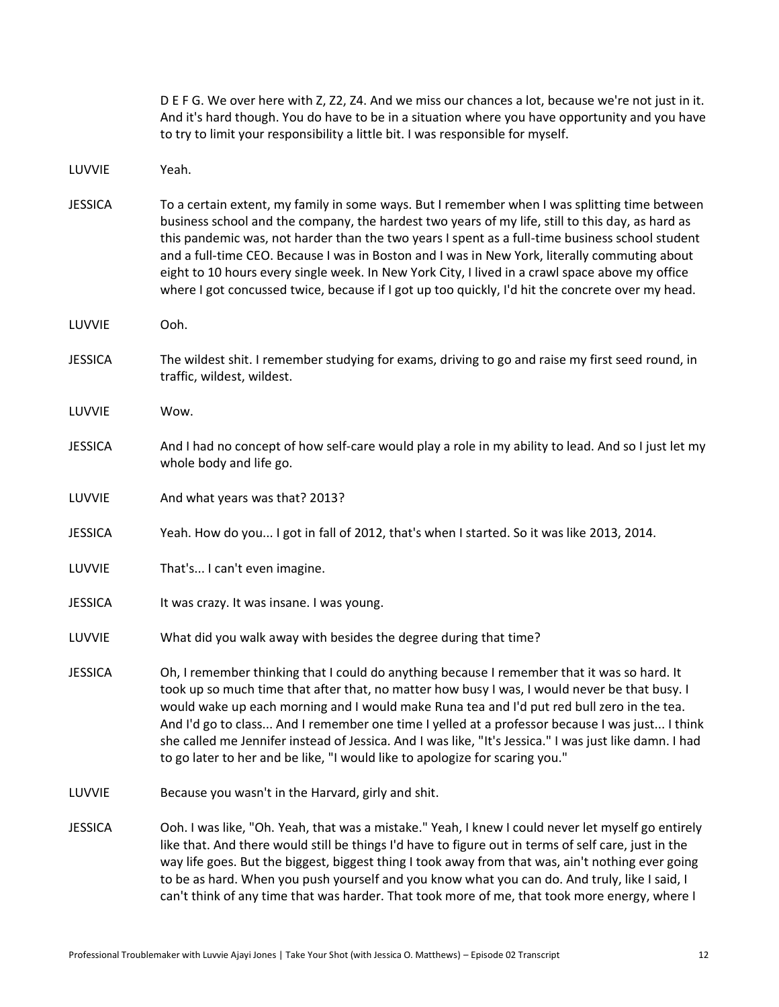|                | D E F G. We over here with Z, Z2, Z4. And we miss our chances a lot, because we're not just in it.<br>And it's hard though. You do have to be in a situation where you have opportunity and you have<br>to try to limit your responsibility a little bit. I was responsible for myself.                                                                                                                                                                                                                                                                                                                      |
|----------------|--------------------------------------------------------------------------------------------------------------------------------------------------------------------------------------------------------------------------------------------------------------------------------------------------------------------------------------------------------------------------------------------------------------------------------------------------------------------------------------------------------------------------------------------------------------------------------------------------------------|
| LUVVIE         | Yeah.                                                                                                                                                                                                                                                                                                                                                                                                                                                                                                                                                                                                        |
| <b>JESSICA</b> | To a certain extent, my family in some ways. But I remember when I was splitting time between<br>business school and the company, the hardest two years of my life, still to this day, as hard as<br>this pandemic was, not harder than the two years I spent as a full-time business school student<br>and a full-time CEO. Because I was in Boston and I was in New York, literally commuting about<br>eight to 10 hours every single week. In New York City, I lived in a crawl space above my office<br>where I got concussed twice, because if I got up too quickly, I'd hit the concrete over my head. |
| LUVVIE         | Ooh.                                                                                                                                                                                                                                                                                                                                                                                                                                                                                                                                                                                                         |
| <b>JESSICA</b> | The wildest shit. I remember studying for exams, driving to go and raise my first seed round, in<br>traffic, wildest, wildest.                                                                                                                                                                                                                                                                                                                                                                                                                                                                               |
| LUVVIE         | Wow.                                                                                                                                                                                                                                                                                                                                                                                                                                                                                                                                                                                                         |
| <b>JESSICA</b> | And I had no concept of how self-care would play a role in my ability to lead. And so I just let my<br>whole body and life go.                                                                                                                                                                                                                                                                                                                                                                                                                                                                               |
| LUVVIE         | And what years was that? 2013?                                                                                                                                                                                                                                                                                                                                                                                                                                                                                                                                                                               |
| <b>JESSICA</b> | Yeah. How do you I got in fall of 2012, that's when I started. So it was like 2013, 2014.                                                                                                                                                                                                                                                                                                                                                                                                                                                                                                                    |
| LUVVIE         | That's I can't even imagine.                                                                                                                                                                                                                                                                                                                                                                                                                                                                                                                                                                                 |
| <b>JESSICA</b> | It was crazy. It was insane. I was young.                                                                                                                                                                                                                                                                                                                                                                                                                                                                                                                                                                    |
| LUVVIE         | What did you walk away with besides the degree during that time?                                                                                                                                                                                                                                                                                                                                                                                                                                                                                                                                             |
| <b>JESSICA</b> | Oh, I remember thinking that I could do anything because I remember that it was so hard. It<br>took up so much time that after that, no matter how busy I was, I would never be that busy. I<br>would wake up each morning and I would make Runa tea and I'd put red bull zero in the tea.<br>And I'd go to class And I remember one time I yelled at a professor because I was just I think<br>she called me Jennifer instead of Jessica. And I was like, "It's Jessica." I was just like damn. I had<br>to go later to her and be like, "I would like to apologize for scaring you."                       |
| LUVVIE         | Because you wasn't in the Harvard, girly and shit.                                                                                                                                                                                                                                                                                                                                                                                                                                                                                                                                                           |
| <b>JESSICA</b> | Ooh. I was like, "Oh. Yeah, that was a mistake." Yeah, I knew I could never let myself go entirely<br>like that. And there would still be things I'd have to figure out in terms of self care, just in the<br>way life goes. But the biggest, biggest thing I took away from that was, ain't nothing ever going<br>to be as hard. When you push yourself and you know what you can do. And truly, like I said, I<br>can't think of any time that was harder. That took more of me, that took more energy, where I                                                                                            |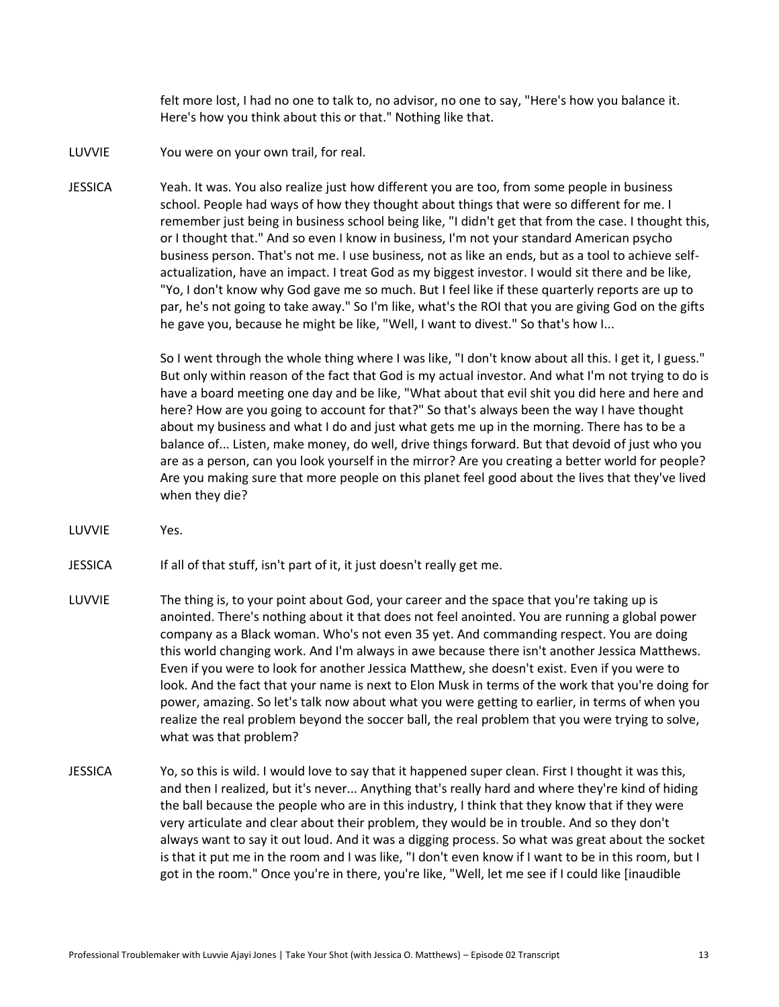felt more lost, I had no one to talk to, no advisor, no one to say, "Here's how you balance it. Here's how you think about this or that." Nothing like that.

- LUVVIE You were on your own trail, for real.
- JESSICA Yeah. It was. You also realize just how different you are too, from some people in business school. People had ways of how they thought about things that were so different for me. I remember just being in business school being like, "I didn't get that from the case. I thought this, or I thought that." And so even I know in business, I'm not your standard American psycho business person. That's not me. I use business, not as like an ends, but as a tool to achieve selfactualization, have an impact. I treat God as my biggest investor. I would sit there and be like, "Yo, I don't know why God gave me so much. But I feel like if these quarterly reports are up to par, he's not going to take away." So I'm like, what's the ROI that you are giving God on the gifts he gave you, because he might be like, "Well, I want to divest." So that's how I...

So I went through the whole thing where I was like, "I don't know about all this. I get it, I guess." But only within reason of the fact that God is my actual investor. And what I'm not trying to do is have a board meeting one day and be like, "What about that evil shit you did here and here and here? How are you going to account for that?" So that's always been the way I have thought about my business and what I do and just what gets me up in the morning. There has to be a balance of... Listen, make money, do well, drive things forward. But that devoid of just who you are as a person, can you look yourself in the mirror? Are you creating a better world for people? Are you making sure that more people on this planet feel good about the lives that they've lived when they die?

LUVVIE Yes.

JESSICA If all of that stuff, isn't part of it, it just doesn't really get me.

- LUVVIE The thing is, to your point about God, your career and the space that you're taking up is anointed. There's nothing about it that does not feel anointed. You are running a global power company as a Black woman. Who's not even 35 yet. And commanding respect. You are doing this world changing work. And I'm always in awe because there isn't another Jessica Matthews. Even if you were to look for another Jessica Matthew, she doesn't exist. Even if you were to look. And the fact that your name is next to Elon Musk in terms of the work that you're doing for power, amazing. So let's talk now about what you were getting to earlier, in terms of when you realize the real problem beyond the soccer ball, the real problem that you were trying to solve, what was that problem?
- JESSICA Yo, so this is wild. I would love to say that it happened super clean. First I thought it was this, and then I realized, but it's never... Anything that's really hard and where they're kind of hiding the ball because the people who are in this industry, I think that they know that if they were very articulate and clear about their problem, they would be in trouble. And so they don't always want to say it out loud. And it was a digging process. So what was great about the socket is that it put me in the room and I was like, "I don't even know if I want to be in this room, but I got in the room." Once you're in there, you're like, "Well, let me see if I could like [inaudible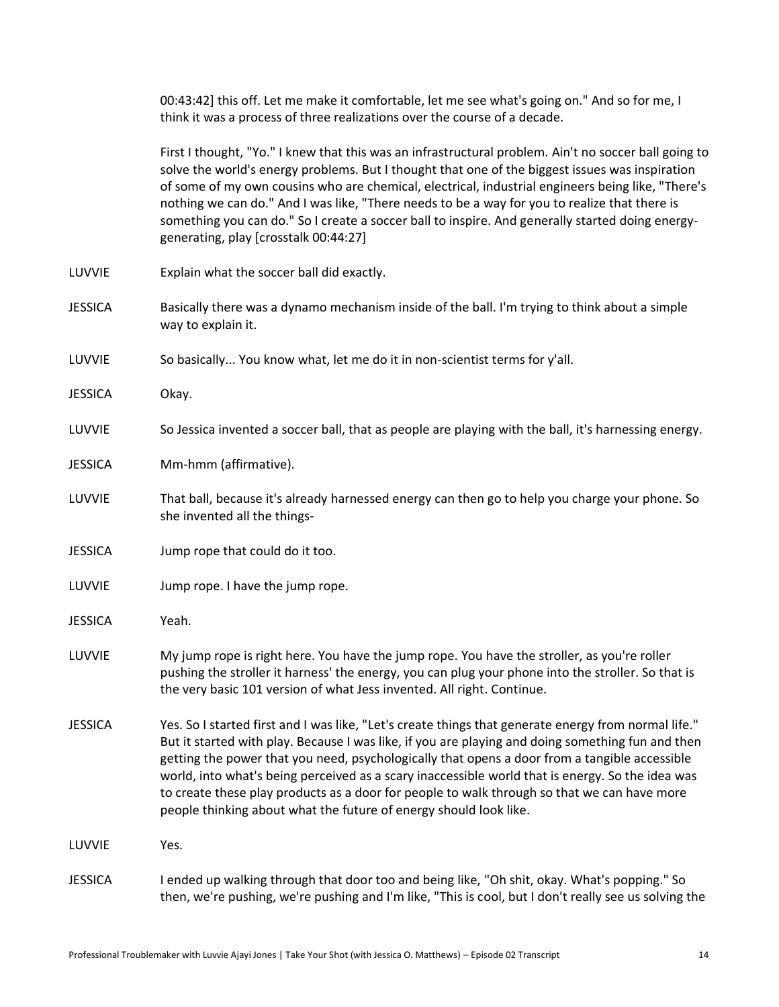00:43:42] this off. Let me make it comfortable, let me see what's going on." And so for me, I think it was a process of three realizations over the course of a decade.

First I thought, "Yo." I knew that this was an infrastructural problem. Ain't no soccer ball going to solve the world's energy problems. But I thought that one of the biggest issues was inspiration of some of my own cousins who are chemical, electrical, industrial engineers being like, "There's nothing we can do." And I was like, "There needs to be a way for you to realize that there is something you can do." So I create a soccer ball to inspire. And generally started doing energygenerating, play [crosstalk 00:44:27]

- LUVVIE Explain what the soccer ball did exactly.
- JESSICA Basically there was a dynamo mechanism inside of the ball. I'm trying to think about a simple way to explain it.
- LUVVIE So basically... You know what, let me do it in non-scientist terms for y'all.
- JESSICA Okay.
- LUVVIE So Jessica invented a soccer ball, that as people are playing with the ball, it's harnessing energy.
- JESSICA Mm-hmm (affirmative).
- LUVVIE That ball, because it's already harnessed energy can then go to help you charge your phone. So she invented all the things-
- JESSICA Jump rope that could do it too.
- LUVVIE Jump rope. I have the jump rope.
- JESSICA Yeah.
- LUVVIE My jump rope is right here. You have the jump rope. You have the stroller, as you're roller pushing the stroller it harness' the energy, you can plug your phone into the stroller. So that is the very basic 101 version of what Jess invented. All right. Continue.
- JESSICA Yes. So I started first and I was like, "Let's create things that generate energy from normal life." But it started with play. Because I was like, if you are playing and doing something fun and then getting the power that you need, psychologically that opens a door from a tangible accessible world, into what's being perceived as a scary inaccessible world that is energy. So the idea was to create these play products as a door for people to walk through so that we can have more people thinking about what the future of energy should look like.

LUVVIE Yes.

JESSICA I ended up walking through that door too and being like, "Oh shit, okay. What's popping." So then, we're pushing, we're pushing and I'm like, "This is cool, but I don't really see us solving the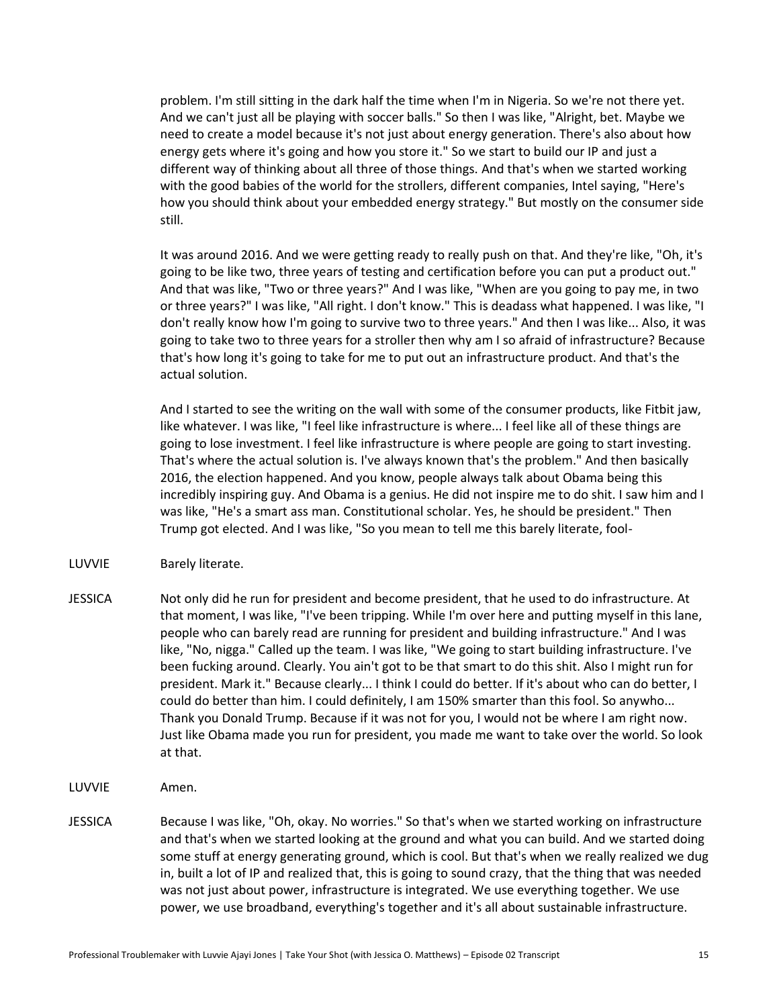problem. I'm still sitting in the dark half the time when I'm in Nigeria. So we're not there yet. And we can't just all be playing with soccer balls." So then I was like, "Alright, bet. Maybe we need to create a model because it's not just about energy generation. There's also about how energy gets where it's going and how you store it." So we start to build our IP and just a different way of thinking about all three of those things. And that's when we started working with the good babies of the world for the strollers, different companies, Intel saying, "Here's how you should think about your embedded energy strategy." But mostly on the consumer side still.

It was around 2016. And we were getting ready to really push on that. And they're like, "Oh, it's going to be like two, three years of testing and certification before you can put a product out." And that was like, "Two or three years?" And I was like, "When are you going to pay me, in two or three years?" I was like, "All right. I don't know." This is deadass what happened. I was like, "I don't really know how I'm going to survive two to three years." And then I was like... Also, it was going to take two to three years for a stroller then why am I so afraid of infrastructure? Because that's how long it's going to take for me to put out an infrastructure product. And that's the actual solution.

And I started to see the writing on the wall with some of the consumer products, like Fitbit jaw, like whatever. I was like, "I feel like infrastructure is where... I feel like all of these things are going to lose investment. I feel like infrastructure is where people are going to start investing. That's where the actual solution is. I've always known that's the problem." And then basically 2016, the election happened. And you know, people always talk about Obama being this incredibly inspiring guy. And Obama is a genius. He did not inspire me to do shit. I saw him and I was like, "He's a smart ass man. Constitutional scholar. Yes, he should be president." Then Trump got elected. And I was like, "So you mean to tell me this barely literate, fool-

- LUVVIE Barely literate.
- JESSICA Not only did he run for president and become president, that he used to do infrastructure. At that moment, I was like, "I've been tripping. While I'm over here and putting myself in this lane, people who can barely read are running for president and building infrastructure." And I was like, "No, nigga." Called up the team. I was like, "We going to start building infrastructure. I've been fucking around. Clearly. You ain't got to be that smart to do this shit. Also I might run for president. Mark it." Because clearly... I think I could do better. If it's about who can do better, I could do better than him. I could definitely, I am 150% smarter than this fool. So anywho... Thank you Donald Trump. Because if it was not for you, I would not be where I am right now. Just like Obama made you run for president, you made me want to take over the world. So look at that.
- LUVVIE Amen.
- JESSICA Because I was like, "Oh, okay. No worries." So that's when we started working on infrastructure and that's when we started looking at the ground and what you can build. And we started doing some stuff at energy generating ground, which is cool. But that's when we really realized we dug in, built a lot of IP and realized that, this is going to sound crazy, that the thing that was needed was not just about power, infrastructure is integrated. We use everything together. We use power, we use broadband, everything's together and it's all about sustainable infrastructure.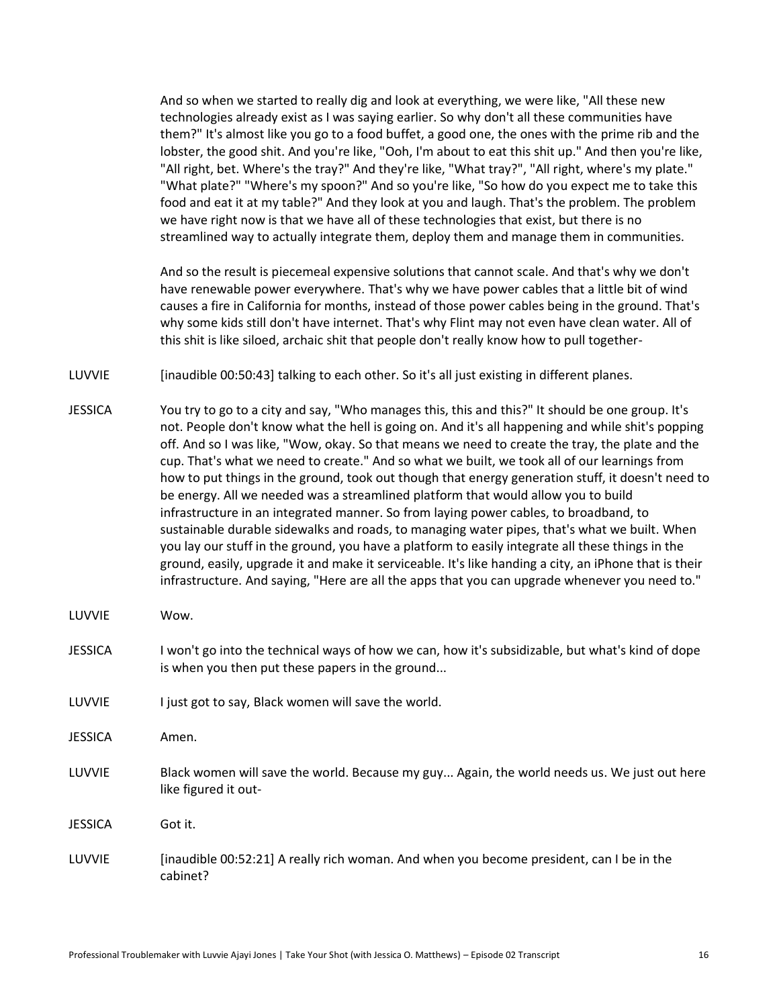And so when we started to really dig and look at everything, we were like, "All these new technologies already exist as I was saying earlier. So why don't all these communities have them?" It's almost like you go to a food buffet, a good one, the ones with the prime rib and the lobster, the good shit. And you're like, "Ooh, I'm about to eat this shit up." And then you're like, "All right, bet. Where's the tray?" And they're like, "What tray?", "All right, where's my plate." "What plate?" "Where's my spoon?" And so you're like, "So how do you expect me to take this food and eat it at my table?" And they look at you and laugh. That's the problem. The problem we have right now is that we have all of these technologies that exist, but there is no streamlined way to actually integrate them, deploy them and manage them in communities.

And so the result is piecemeal expensive solutions that cannot scale. And that's why we don't have renewable power everywhere. That's why we have power cables that a little bit of wind causes a fire in California for months, instead of those power cables being in the ground. That's why some kids still don't have internet. That's why Flint may not even have clean water. All of this shit is like siloed, archaic shit that people don't really know how to pull together-

LUVVIE [inaudible 00:50:43] talking to each other. So it's all just existing in different planes.

- JESSICA You try to go to a city and say, "Who manages this, this and this?" It should be one group. It's not. People don't know what the hell is going on. And it's all happening and while shit's popping off. And so I was like, "Wow, okay. So that means we need to create the tray, the plate and the cup. That's what we need to create." And so what we built, we took all of our learnings from how to put things in the ground, took out though that energy generation stuff, it doesn't need to be energy. All we needed was a streamlined platform that would allow you to build infrastructure in an integrated manner. So from laying power cables, to broadband, to sustainable durable sidewalks and roads, to managing water pipes, that's what we built. When you lay our stuff in the ground, you have a platform to easily integrate all these things in the ground, easily, upgrade it and make it serviceable. It's like handing a city, an iPhone that is their infrastructure. And saying, "Here are all the apps that you can upgrade whenever you need to."
- LUVVIE Wow.
- JESSICA I won't go into the technical ways of how we can, how it's subsidizable, but what's kind of dope is when you then put these papers in the ground...
- LUVVIE I just got to say, Black women will save the world.
- JESSICA Amen.
- LUVVIE Black women will save the world. Because my guy... Again, the world needs us. We just out here like figured it out-
- JESSICA Got it.
- LUVVIE [inaudible 00:52:21] A really rich woman. And when you become president, can I be in the cabinet?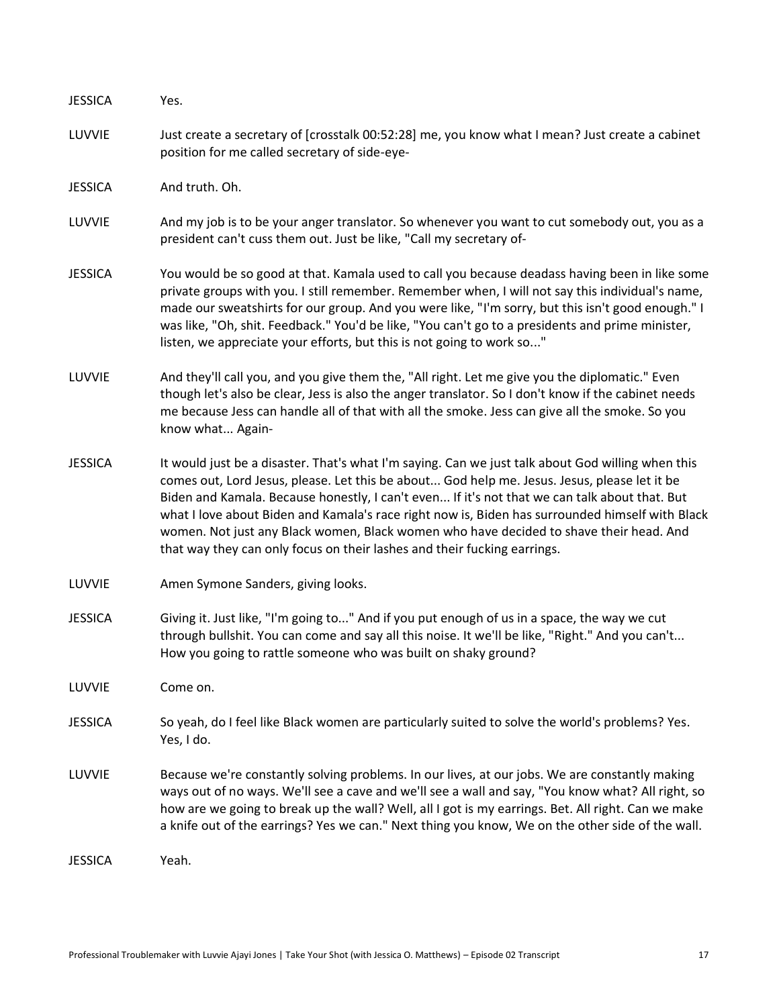| <b>JESSICA</b> | Yes.                                                                                                                                                                                                                                                                                                                                                                                                                                                                                                                                                                        |
|----------------|-----------------------------------------------------------------------------------------------------------------------------------------------------------------------------------------------------------------------------------------------------------------------------------------------------------------------------------------------------------------------------------------------------------------------------------------------------------------------------------------------------------------------------------------------------------------------------|
| LUVVIE         | Just create a secretary of [crosstalk 00:52:28] me, you know what I mean? Just create a cabinet<br>position for me called secretary of side-eye-                                                                                                                                                                                                                                                                                                                                                                                                                            |
| <b>JESSICA</b> | And truth. Oh.                                                                                                                                                                                                                                                                                                                                                                                                                                                                                                                                                              |
| LUVVIE         | And my job is to be your anger translator. So whenever you want to cut somebody out, you as a<br>president can't cuss them out. Just be like, "Call my secretary of-                                                                                                                                                                                                                                                                                                                                                                                                        |
| <b>JESSICA</b> | You would be so good at that. Kamala used to call you because deadass having been in like some<br>private groups with you. I still remember. Remember when, I will not say this individual's name,<br>made our sweatshirts for our group. And you were like, "I'm sorry, but this isn't good enough." I<br>was like, "Oh, shit. Feedback." You'd be like, "You can't go to a presidents and prime minister,<br>listen, we appreciate your efforts, but this is not going to work so"                                                                                        |
| LUVVIE         | And they'll call you, and you give them the, "All right. Let me give you the diplomatic." Even<br>though let's also be clear, Jess is also the anger translator. So I don't know if the cabinet needs<br>me because Jess can handle all of that with all the smoke. Jess can give all the smoke. So you<br>know what Again-                                                                                                                                                                                                                                                 |
| <b>JESSICA</b> | It would just be a disaster. That's what I'm saying. Can we just talk about God willing when this<br>comes out, Lord Jesus, please. Let this be about God help me. Jesus. Jesus, please let it be<br>Biden and Kamala. Because honestly, I can't even If it's not that we can talk about that. But<br>what I love about Biden and Kamala's race right now is, Biden has surrounded himself with Black<br>women. Not just any Black women, Black women who have decided to shave their head. And<br>that way they can only focus on their lashes and their fucking earrings. |
| LUVVIE         | Amen Symone Sanders, giving looks.                                                                                                                                                                                                                                                                                                                                                                                                                                                                                                                                          |
| <b>JESSICA</b> | Giving it. Just like, "I'm going to" And if you put enough of us in a space, the way we cut<br>through bullshit. You can come and say all this noise. It we'll be like, "Right." And you can't<br>How you going to rattle someone who was built on shaky ground?                                                                                                                                                                                                                                                                                                            |
| LUVVIE         | Come on.                                                                                                                                                                                                                                                                                                                                                                                                                                                                                                                                                                    |
| <b>JESSICA</b> | So yeah, do I feel like Black women are particularly suited to solve the world's problems? Yes.<br>Yes, I do.                                                                                                                                                                                                                                                                                                                                                                                                                                                               |
| LUVVIE         | Because we're constantly solving problems. In our lives, at our jobs. We are constantly making<br>ways out of no ways. We'll see a cave and we'll see a wall and say, "You know what? All right, so<br>how are we going to break up the wall? Well, all I got is my earrings. Bet. All right. Can we make<br>a knife out of the earrings? Yes we can." Next thing you know, We on the other side of the wall.                                                                                                                                                               |
| <b>JESSICA</b> | Yeah.                                                                                                                                                                                                                                                                                                                                                                                                                                                                                                                                                                       |
|                |                                                                                                                                                                                                                                                                                                                                                                                                                                                                                                                                                                             |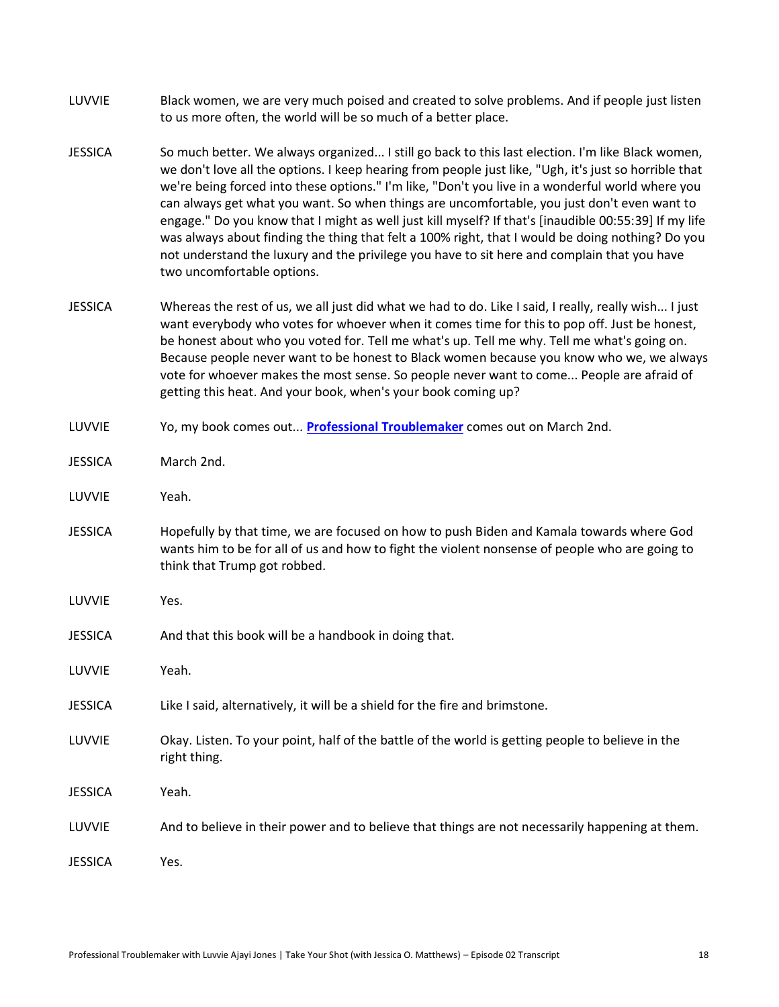- LUVVIE Black women, we are very much poised and created to solve problems. And if people just listen to us more often, the world will be so much of a better place.
- JESSICA So much better. We always organized... I still go back to this last election. I'm like Black women, we don't love all the options. I keep hearing from people just like, "Ugh, it's just so horrible that we're being forced into these options." I'm like, "Don't you live in a wonderful world where you can always get what you want. So when things are uncomfortable, you just don't even want to engage." Do you know that I might as well just kill myself? If that's [inaudible 00:55:39] If my life was always about finding the thing that felt a 100% right, that I would be doing nothing? Do you not understand the luxury and the privilege you have to sit here and complain that you have two uncomfortable options.
- JESSICA Whereas the rest of us, we all just did what we had to do. Like I said, I really, really wish... I just want everybody who votes for whoever when it comes time for this to pop off. Just be honest, be honest about who you voted for. Tell me what's up. Tell me why. Tell me what's going on. Because people never want to be honest to Black women because you know who we, we always vote for whoever makes the most sense. So people never want to come... People are afraid of getting this heat. And your book, when's your book coming up?
- LUVVIE Yo, my book comes out... **[Professional Troublemaker](http://professionaltroublemakerbook.com/)** comes out on March 2nd.
- JESSICA March 2nd.
- LUVVIE Yeah.
- JESSICA Hopefully by that time, we are focused on how to push Biden and Kamala towards where God wants him to be for all of us and how to fight the violent nonsense of people who are going to think that Trump got robbed.
- LUVVIE Yes.
- JESSICA And that this book will be a handbook in doing that.
- LUVVIE Yeah.
- JESSICA Like I said, alternatively, it will be a shield for the fire and brimstone.
- LUVVIE Okay. Listen. To your point, half of the battle of the world is getting people to believe in the right thing.
- JESSICA Yeah.
- LUVVIE And to believe in their power and to believe that things are not necessarily happening at them.

JESSICA Yes.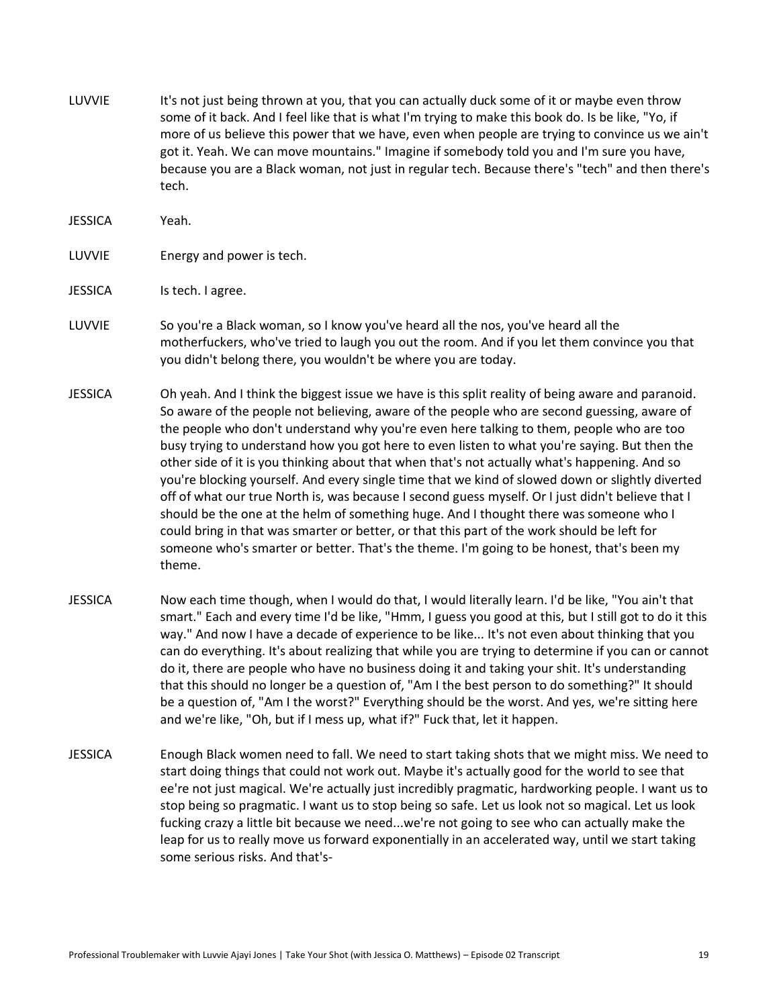- LUVVIE It's not just being thrown at you, that you can actually duck some of it or maybe even throw some of it back. And I feel like that is what I'm trying to make this book do. Is be like, "Yo, if more of us believe this power that we have, even when people are trying to convince us we ain't got it. Yeah. We can move mountains." Imagine if somebody told you and I'm sure you have, because you are a Black woman, not just in regular tech. Because there's "tech" and then there's tech.
- JESSICA Yeah.
- LUVVIE Energy and power is tech.
- JESSICA Is tech. I agree.
- LUVVIE So you're a Black woman, so I know you've heard all the nos, you've heard all the motherfuckers, who've tried to laugh you out the room. And if you let them convince you that you didn't belong there, you wouldn't be where you are today.
- JESSICA Oh yeah. And I think the biggest issue we have is this split reality of being aware and paranoid. So aware of the people not believing, aware of the people who are second guessing, aware of the people who don't understand why you're even here talking to them, people who are too busy trying to understand how you got here to even listen to what you're saying. But then the other side of it is you thinking about that when that's not actually what's happening. And so you're blocking yourself. And every single time that we kind of slowed down or slightly diverted off of what our true North is, was because I second guess myself. Or I just didn't believe that I should be the one at the helm of something huge. And I thought there was someone who I could bring in that was smarter or better, or that this part of the work should be left for someone who's smarter or better. That's the theme. I'm going to be honest, that's been my theme.
- JESSICA Now each time though, when I would do that, I would literally learn. I'd be like, "You ain't that smart." Each and every time I'd be like, "Hmm, I guess you good at this, but I still got to do it this way." And now I have a decade of experience to be like... It's not even about thinking that you can do everything. It's about realizing that while you are trying to determine if you can or cannot do it, there are people who have no business doing it and taking your shit. It's understanding that this should no longer be a question of, "Am I the best person to do something?" It should be a question of, "Am I the worst?" Everything should be the worst. And yes, we're sitting here and we're like, "Oh, but if I mess up, what if?" Fuck that, let it happen.
- JESSICA Enough Black women need to fall. We need to start taking shots that we might miss. We need to start doing things that could not work out. Maybe it's actually good for the world to see that ee're not just magical. We're actually just incredibly pragmatic, hardworking people. I want us to stop being so pragmatic. I want us to stop being so safe. Let us look not so magical. Let us look fucking crazy a little bit because we need...we're not going to see who can actually make the leap for us to really move us forward exponentially in an accelerated way, until we start taking some serious risks. And that's-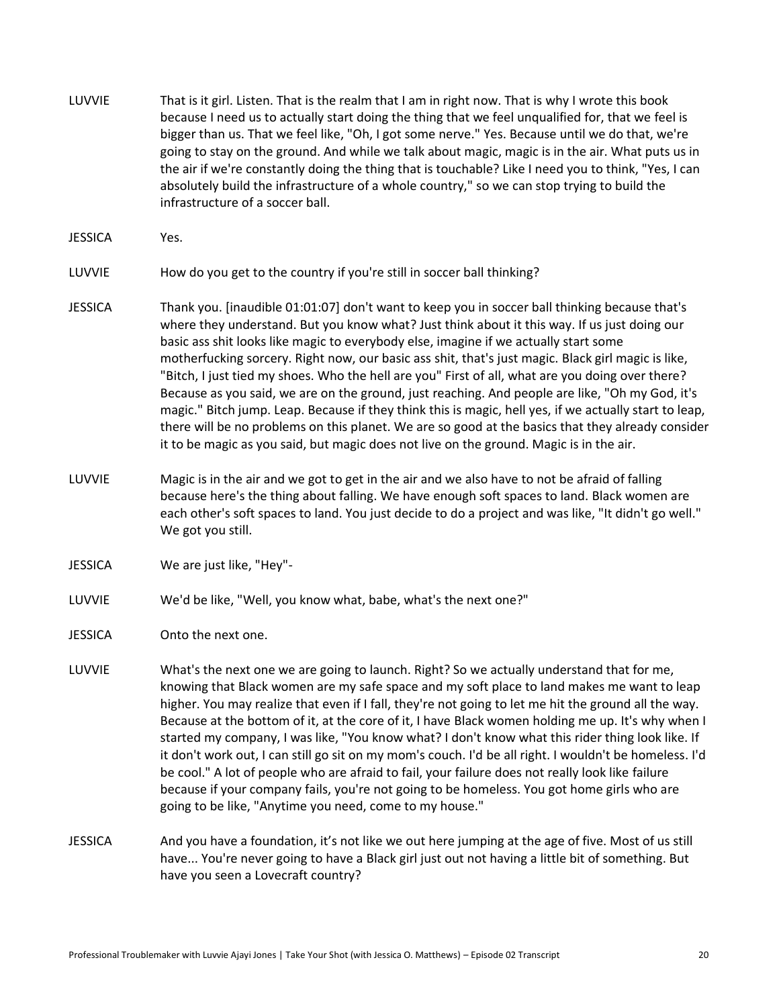- LUVVIE That is it girl. Listen. That is the realm that I am in right now. That is why I wrote this book because I need us to actually start doing the thing that we feel unqualified for, that we feel is bigger than us. That we feel like, "Oh, I got some nerve." Yes. Because until we do that, we're going to stay on the ground. And while we talk about magic, magic is in the air. What puts us in the air if we're constantly doing the thing that is touchable? Like I need you to think, "Yes, I can absolutely build the infrastructure of a whole country," so we can stop trying to build the infrastructure of a soccer ball.
- JESSICA Yes.
- LUVVIE How do you get to the country if you're still in soccer ball thinking?
- JESSICA Thank you. [inaudible 01:01:07] don't want to keep you in soccer ball thinking because that's where they understand. But you know what? Just think about it this way. If us just doing our basic ass shit looks like magic to everybody else, imagine if we actually start some motherfucking sorcery. Right now, our basic ass shit, that's just magic. Black girl magic is like, "Bitch, I just tied my shoes. Who the hell are you" First of all, what are you doing over there? Because as you said, we are on the ground, just reaching. And people are like, "Oh my God, it's magic." Bitch jump. Leap. Because if they think this is magic, hell yes, if we actually start to leap, there will be no problems on this planet. We are so good at the basics that they already consider it to be magic as you said, but magic does not live on the ground. Magic is in the air.
- LUVVIE Magic is in the air and we got to get in the air and we also have to not be afraid of falling because here's the thing about falling. We have enough soft spaces to land. Black women are each other's soft spaces to land. You just decide to do a project and was like, "It didn't go well." We got you still.
- JESSICA We are just like, "Hey"-
- LUVVIE We'd be like, "Well, you know what, babe, what's the next one?"
- JESSICA Onto the next one.
- LUVVIE What's the next one we are going to launch. Right? So we actually understand that for me, knowing that Black women are my safe space and my soft place to land makes me want to leap higher. You may realize that even if I fall, they're not going to let me hit the ground all the way. Because at the bottom of it, at the core of it, I have Black women holding me up. It's why when I started my company, I was like, "You know what? I don't know what this rider thing look like. If it don't work out, I can still go sit on my mom's couch. I'd be all right. I wouldn't be homeless. I'd be cool." A lot of people who are afraid to fail, your failure does not really look like failure because if your company fails, you're not going to be homeless. You got home girls who are going to be like, "Anytime you need, come to my house."
- JESSICA And you have a foundation, it's not like we out here jumping at the age of five. Most of us still have... You're never going to have a Black girl just out not having a little bit of something. But have you seen a Lovecraft country?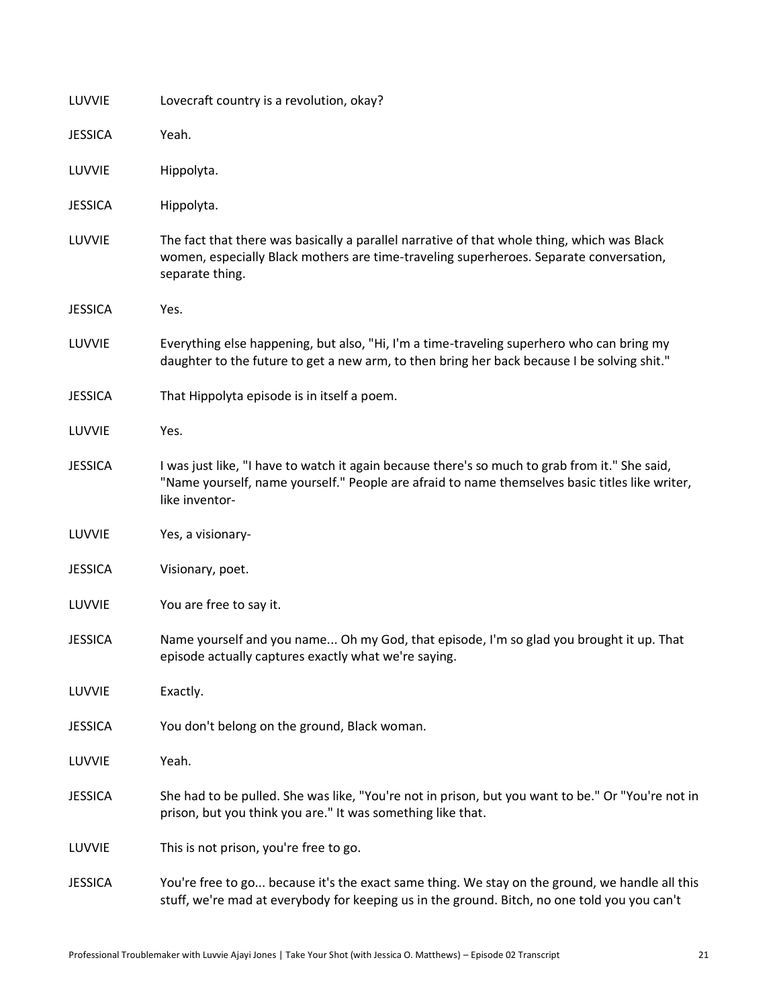| LUVVIE         | Lovecraft country is a revolution, okay?                                                                                                                                                                           |
|----------------|--------------------------------------------------------------------------------------------------------------------------------------------------------------------------------------------------------------------|
| <b>JESSICA</b> | Yeah.                                                                                                                                                                                                              |
| LUVVIE         | Hippolyta.                                                                                                                                                                                                         |
| <b>JESSICA</b> | Hippolyta.                                                                                                                                                                                                         |
| LUVVIE         | The fact that there was basically a parallel narrative of that whole thing, which was Black<br>women, especially Black mothers are time-traveling superheroes. Separate conversation,<br>separate thing.           |
| <b>JESSICA</b> | Yes.                                                                                                                                                                                                               |
| LUVVIE         | Everything else happening, but also, "Hi, I'm a time-traveling superhero who can bring my<br>daughter to the future to get a new arm, to then bring her back because I be solving shit."                           |
| <b>JESSICA</b> | That Hippolyta episode is in itself a poem.                                                                                                                                                                        |
| LUVVIE         | Yes.                                                                                                                                                                                                               |
| <b>JESSICA</b> | I was just like, "I have to watch it again because there's so much to grab from it." She said,<br>"Name yourself, name yourself." People are afraid to name themselves basic titles like writer,<br>like inventor- |
| LUVVIE         | Yes, a visionary-                                                                                                                                                                                                  |
| <b>JESSICA</b> | Visionary, poet.                                                                                                                                                                                                   |
| LUVVIE         | You are free to say it.                                                                                                                                                                                            |
| <b>JESSICA</b> | Name yourself and you name Oh my God, that episode, I'm so glad you brought it up. That<br>episode actually captures exactly what we're saying.                                                                    |
| LUVVIE         | Exactly.                                                                                                                                                                                                           |
| <b>JESSICA</b> | You don't belong on the ground, Black woman.                                                                                                                                                                       |
| LUVVIE         | Yeah.                                                                                                                                                                                                              |
| <b>JESSICA</b> | She had to be pulled. She was like, "You're not in prison, but you want to be." Or "You're not in<br>prison, but you think you are." It was something like that.                                                   |
| LUVVIE         | This is not prison, you're free to go.                                                                                                                                                                             |
| <b>JESSICA</b> | You're free to go because it's the exact same thing. We stay on the ground, we handle all this<br>stuff, we're mad at everybody for keeping us in the ground. Bitch, no one told you you can't                     |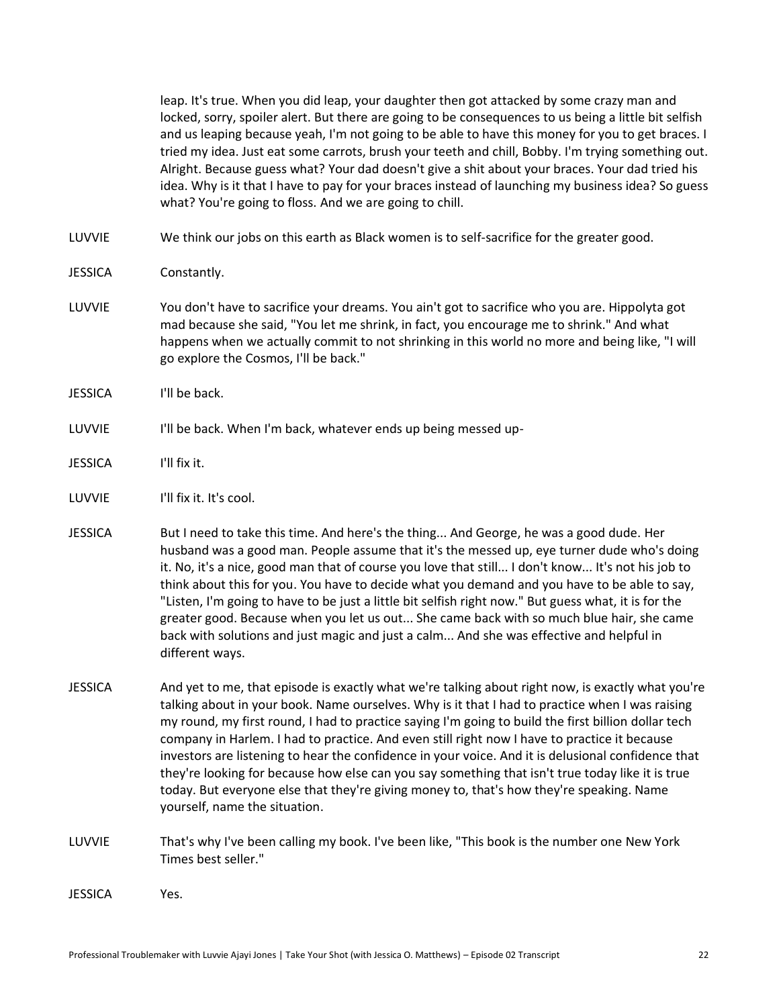leap. It's true. When you did leap, your daughter then got attacked by some crazy man and locked, sorry, spoiler alert. But there are going to be consequences to us being a little bit selfish and us leaping because yeah, I'm not going to be able to have this money for you to get braces. I tried my idea. Just eat some carrots, brush your teeth and chill, Bobby. I'm trying something out. Alright. Because guess what? Your dad doesn't give a shit about your braces. Your dad tried his idea. Why is it that I have to pay for your braces instead of launching my business idea? So guess what? You're going to floss. And we are going to chill.

LUVVIE We think our jobs on this earth as Black women is to self-sacrifice for the greater good.

JESSICA Constantly.

- LUVVIE You don't have to sacrifice your dreams. You ain't got to sacrifice who you are. Hippolyta got mad because she said, "You let me shrink, in fact, you encourage me to shrink." And what happens when we actually commit to not shrinking in this world no more and being like, "I will go explore the Cosmos, I'll be back."
- JESSICA I'll be back.

## LUVVIE I'll be back. When I'm back, whatever ends up being messed up-

- JESSICA I'll fix it.
- LUVVIE I'll fix it. It's cool.
- JESSICA But I need to take this time. And here's the thing... And George, he was a good dude. Her husband was a good man. People assume that it's the messed up, eye turner dude who's doing it. No, it's a nice, good man that of course you love that still... I don't know... It's not his job to think about this for you. You have to decide what you demand and you have to be able to say, "Listen, I'm going to have to be just a little bit selfish right now." But guess what, it is for the greater good. Because when you let us out... She came back with so much blue hair, she came back with solutions and just magic and just a calm... And she was effective and helpful in different ways.
- JESSICA And yet to me, that episode is exactly what we're talking about right now, is exactly what you're talking about in your book. Name ourselves. Why is it that I had to practice when I was raising my round, my first round, I had to practice saying I'm going to build the first billion dollar tech company in Harlem. I had to practice. And even still right now I have to practice it because investors are listening to hear the confidence in your voice. And it is delusional confidence that they're looking for because how else can you say something that isn't true today like it is true today. But everyone else that they're giving money to, that's how they're speaking. Name yourself, name the situation.
- LUVVIE That's why I've been calling my book. I've been like, "This book is the number one New York Times best seller."

JESSICA Yes.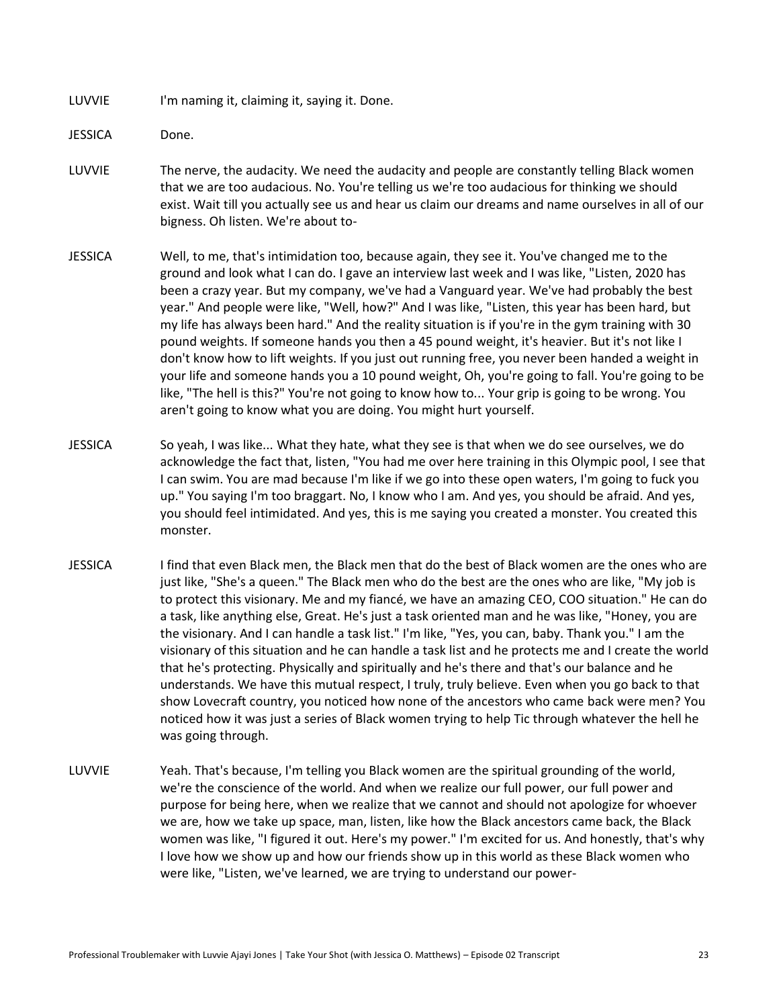LUVVIE I'm naming it, claiming it, saying it. Done.

JESSICA Done.

- LUVVIE The nerve, the audacity. We need the audacity and people are constantly telling Black women that we are too audacious. No. You're telling us we're too audacious for thinking we should exist. Wait till you actually see us and hear us claim our dreams and name ourselves in all of our bigness. Oh listen. We're about to-
- JESSICA Well, to me, that's intimidation too, because again, they see it. You've changed me to the ground and look what I can do. I gave an interview last week and I was like, "Listen, 2020 has been a crazy year. But my company, we've had a Vanguard year. We've had probably the best year." And people were like, "Well, how?" And I was like, "Listen, this year has been hard, but my life has always been hard." And the reality situation is if you're in the gym training with 30 pound weights. If someone hands you then a 45 pound weight, it's heavier. But it's not like I don't know how to lift weights. If you just out running free, you never been handed a weight in your life and someone hands you a 10 pound weight, Oh, you're going to fall. You're going to be like, "The hell is this?" You're not going to know how to... Your grip is going to be wrong. You aren't going to know what you are doing. You might hurt yourself.
- JESSICA So yeah, I was like... What they hate, what they see is that when we do see ourselves, we do acknowledge the fact that, listen, "You had me over here training in this Olympic pool, I see that I can swim. You are mad because I'm like if we go into these open waters, I'm going to fuck you up." You saying I'm too braggart. No, I know who I am. And yes, you should be afraid. And yes, you should feel intimidated. And yes, this is me saying you created a monster. You created this monster.
- JESSICA I find that even Black men, the Black men that do the best of Black women are the ones who are just like, "She's a queen." The Black men who do the best are the ones who are like, "My job is to protect this visionary. Me and my fiancé, we have an amazing CEO, COO situation." He can do a task, like anything else, Great. He's just a task oriented man and he was like, "Honey, you are the visionary. And I can handle a task list." I'm like, "Yes, you can, baby. Thank you." I am the visionary of this situation and he can handle a task list and he protects me and I create the world that he's protecting. Physically and spiritually and he's there and that's our balance and he understands. We have this mutual respect, I truly, truly believe. Even when you go back to that show Lovecraft country, you noticed how none of the ancestors who came back were men? You noticed how it was just a series of Black women trying to help Tic through whatever the hell he was going through.
- LUVVIE Yeah. That's because, I'm telling you Black women are the spiritual grounding of the world, we're the conscience of the world. And when we realize our full power, our full power and purpose for being here, when we realize that we cannot and should not apologize for whoever we are, how we take up space, man, listen, like how the Black ancestors came back, the Black women was like, "I figured it out. Here's my power." I'm excited for us. And honestly, that's why I love how we show up and how our friends show up in this world as these Black women who were like, "Listen, we've learned, we are trying to understand our power-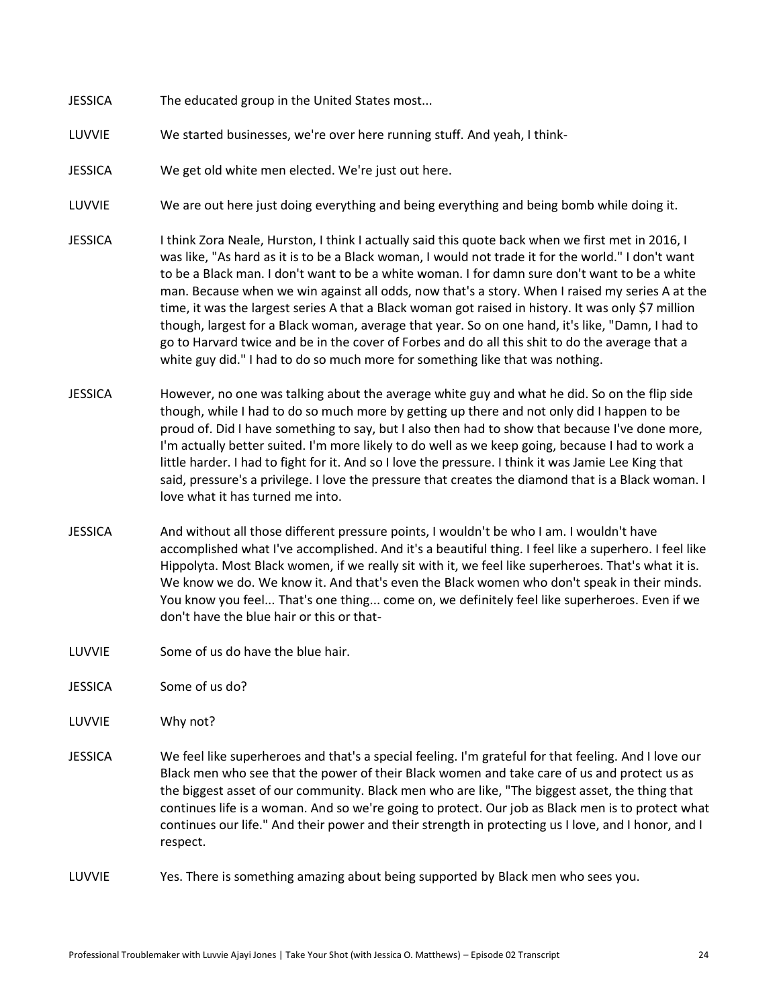- JESSICA The educated group in the United States most...
- LUVVIE We started businesses, we're over here running stuff. And yeah, I think-
- JESSICA We get old white men elected. We're just out here.
- LUVVIE We are out here just doing everything and being everything and being bomb while doing it.
- JESSICA I think Zora Neale, Hurston, I think I actually said this quote back when we first met in 2016, I was like, "As hard as it is to be a Black woman, I would not trade it for the world." I don't want to be a Black man. I don't want to be a white woman. I for damn sure don't want to be a white man. Because when we win against all odds, now that's a story. When I raised my series A at the time, it was the largest series A that a Black woman got raised in history. It was only \$7 million though, largest for a Black woman, average that year. So on one hand, it's like, "Damn, I had to go to Harvard twice and be in the cover of Forbes and do all this shit to do the average that a white guy did." I had to do so much more for something like that was nothing.
- JESSICA However, no one was talking about the average white guy and what he did. So on the flip side though, while I had to do so much more by getting up there and not only did I happen to be proud of. Did I have something to say, but I also then had to show that because I've done more, I'm actually better suited. I'm more likely to do well as we keep going, because I had to work a little harder. I had to fight for it. And so I love the pressure. I think it was Jamie Lee King that said, pressure's a privilege. I love the pressure that creates the diamond that is a Black woman. I love what it has turned me into.
- JESSICA And without all those different pressure points, I wouldn't be who I am. I wouldn't have accomplished what I've accomplished. And it's a beautiful thing. I feel like a superhero. I feel like Hippolyta. Most Black women, if we really sit with it, we feel like superheroes. That's what it is. We know we do. We know it. And that's even the Black women who don't speak in their minds. You know you feel... That's one thing... come on, we definitely feel like superheroes. Even if we don't have the blue hair or this or that-
- LUVVIE Some of us do have the blue hair.
- JESSICA Some of us do?
- LUVVIE Why not?
- JESSICA We feel like superheroes and that's a special feeling. I'm grateful for that feeling. And I love our Black men who see that the power of their Black women and take care of us and protect us as the biggest asset of our community. Black men who are like, "The biggest asset, the thing that continues life is a woman. And so we're going to protect. Our job as Black men is to protect what continues our life." And their power and their strength in protecting us I love, and I honor, and I respect.
- LUVVIE Yes. There is something amazing about being supported by Black men who sees you.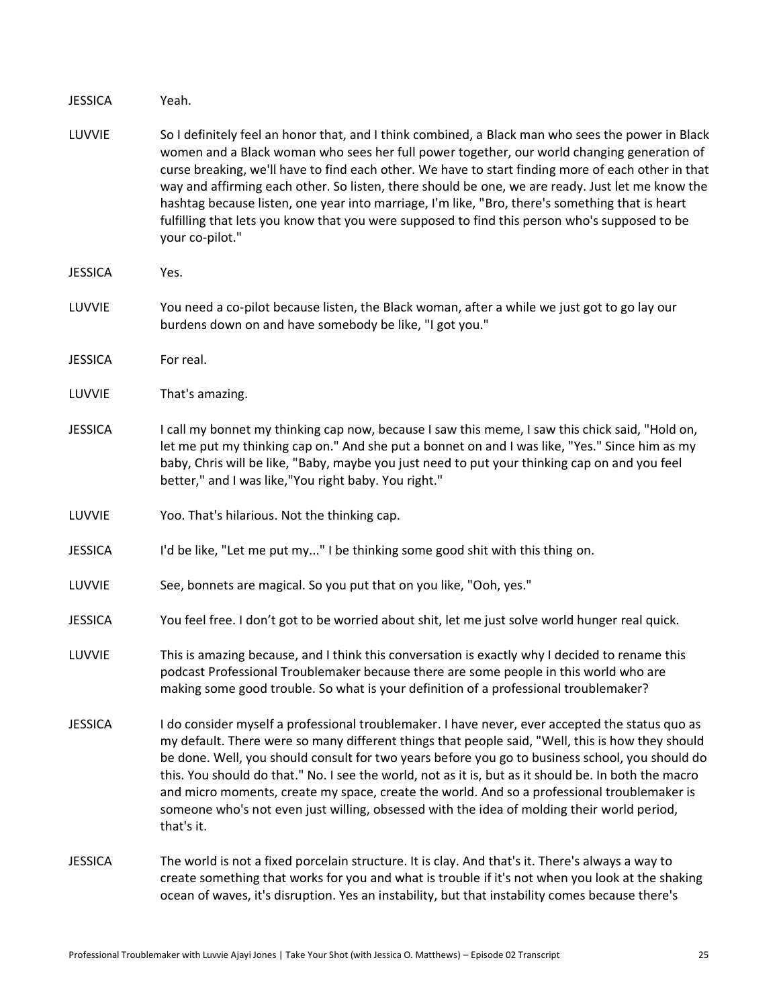JESSICA Yeah.

- LUVVIE So I definitely feel an honor that, and I think combined, a Black man who sees the power in Black women and a Black woman who sees her full power together, our world changing generation of curse breaking, we'll have to find each other. We have to start finding more of each other in that way and affirming each other. So listen, there should be one, we are ready. Just let me know the hashtag because listen, one year into marriage, I'm like, "Bro, there's something that is heart fulfilling that lets you know that you were supposed to find this person who's supposed to be your co-pilot."
- JESSICA Yes.
- LUVVIE You need a co-pilot because listen, the Black woman, after a while we just got to go lay our burdens down on and have somebody be like, "I got you."
- JESSICA For real.
- LUVVIE That's amazing.
- JESSICA I call my bonnet my thinking cap now, because I saw this meme, I saw this chick said, "Hold on, let me put my thinking cap on." And she put a bonnet on and I was like, "Yes." Since him as my baby, Chris will be like, "Baby, maybe you just need to put your thinking cap on and you feel better," and I was like,"You right baby. You right."
- LUVVIE Yoo. That's hilarious. Not the thinking cap.
- JESSICA I'd be like, "Let me put my..." I be thinking some good shit with this thing on.

LUVVIE See, bonnets are magical. So you put that on you like, "Ooh, yes."

- JESSICA You feel free. I don't got to be worried about shit, let me just solve world hunger real quick.
- LUVVIE This is amazing because, and I think this conversation is exactly why I decided to rename this podcast Professional Troublemaker because there are some people in this world who are making some good trouble. So what is your definition of a professional troublemaker?
- JESSICA I do consider myself a professional troublemaker. I have never, ever accepted the status quo as my default. There were so many different things that people said, "Well, this is how they should be done. Well, you should consult for two years before you go to business school, you should do this. You should do that." No. I see the world, not as it is, but as it should be. In both the macro and micro moments, create my space, create the world. And so a professional troublemaker is someone who's not even just willing, obsessed with the idea of molding their world period, that's it.
- JESSICA The world is not a fixed porcelain structure. It is clay. And that's it. There's always a way to create something that works for you and what is trouble if it's not when you look at the shaking ocean of waves, it's disruption. Yes an instability, but that instability comes because there's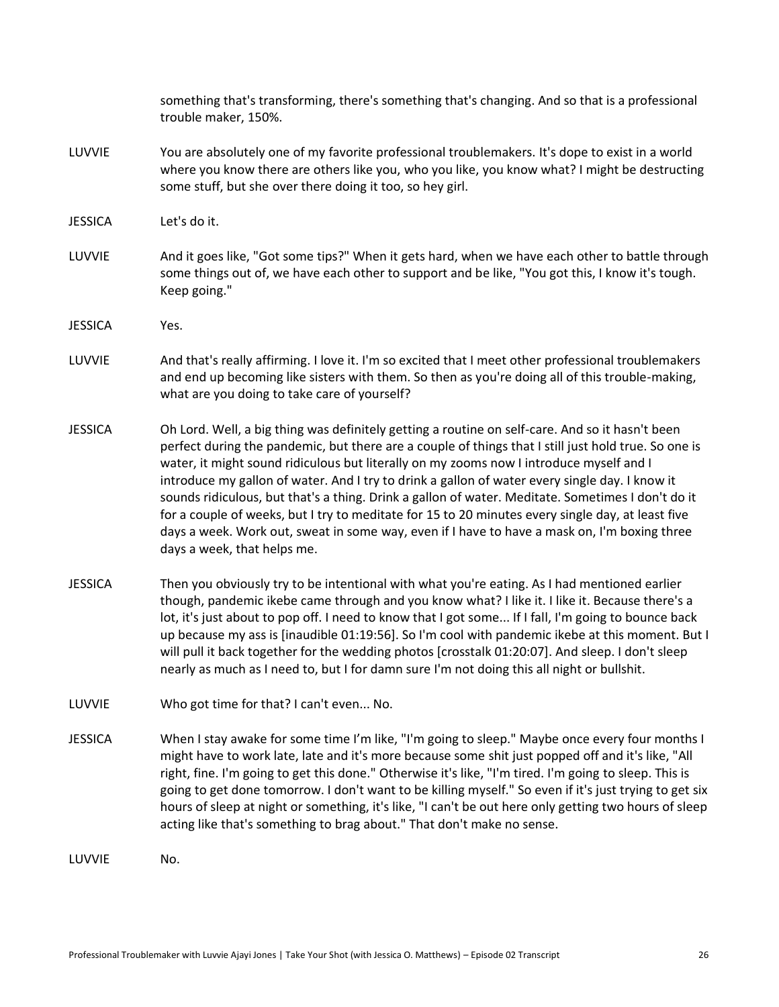|                | something that's transforming, there's something that's changing. And so that is a professional<br>trouble maker, 150%.                                                                                                                                                                                                                                                                                                                                                                                                                                                                                                                                                                                                                       |
|----------------|-----------------------------------------------------------------------------------------------------------------------------------------------------------------------------------------------------------------------------------------------------------------------------------------------------------------------------------------------------------------------------------------------------------------------------------------------------------------------------------------------------------------------------------------------------------------------------------------------------------------------------------------------------------------------------------------------------------------------------------------------|
| LUVVIE         | You are absolutely one of my favorite professional troublemakers. It's dope to exist in a world<br>where you know there are others like you, who you like, you know what? I might be destructing<br>some stuff, but she over there doing it too, so hey girl.                                                                                                                                                                                                                                                                                                                                                                                                                                                                                 |
| <b>JESSICA</b> | Let's do it.                                                                                                                                                                                                                                                                                                                                                                                                                                                                                                                                                                                                                                                                                                                                  |
| LUVVIE         | And it goes like, "Got some tips?" When it gets hard, when we have each other to battle through<br>some things out of, we have each other to support and be like, "You got this, I know it's tough.<br>Keep going."                                                                                                                                                                                                                                                                                                                                                                                                                                                                                                                           |
| <b>JESSICA</b> | Yes.                                                                                                                                                                                                                                                                                                                                                                                                                                                                                                                                                                                                                                                                                                                                          |
| LUVVIE         | And that's really affirming. I love it. I'm so excited that I meet other professional troublemakers<br>and end up becoming like sisters with them. So then as you're doing all of this trouble-making,<br>what are you doing to take care of yourself?                                                                                                                                                                                                                                                                                                                                                                                                                                                                                        |
| <b>JESSICA</b> | Oh Lord. Well, a big thing was definitely getting a routine on self-care. And so it hasn't been<br>perfect during the pandemic, but there are a couple of things that I still just hold true. So one is<br>water, it might sound ridiculous but literally on my zooms now I introduce myself and I<br>introduce my gallon of water. And I try to drink a gallon of water every single day. I know it<br>sounds ridiculous, but that's a thing. Drink a gallon of water. Meditate. Sometimes I don't do it<br>for a couple of weeks, but I try to meditate for 15 to 20 minutes every single day, at least five<br>days a week. Work out, sweat in some way, even if I have to have a mask on, I'm boxing three<br>days a week, that helps me. |
| <b>JESSICA</b> | Then you obviously try to be intentional with what you're eating. As I had mentioned earlier<br>though, pandemic ikebe came through and you know what? I like it. I like it. Because there's a<br>lot, it's just about to pop off. I need to know that I got some If I fall, I'm going to bounce back<br>up because my ass is [inaudible 01:19:56]. So I'm cool with pandemic ikebe at this moment. But I<br>will pull it back together for the wedding photos [crosstalk 01:20:07]. And sleep. I don't sleep<br>nearly as much as I need to, but I for damn sure I'm not doing this all night or bullshit.                                                                                                                                   |
| LUVVIE         | Who got time for that? I can't even No.                                                                                                                                                                                                                                                                                                                                                                                                                                                                                                                                                                                                                                                                                                       |
| <b>JESSICA</b> | When I stay awake for some time I'm like, "I'm going to sleep." Maybe once every four months I<br>might have to work late, late and it's more because some shit just popped off and it's like, "All<br>right, fine. I'm going to get this done." Otherwise it's like, "I'm tired. I'm going to sleep. This is<br>going to get done tomorrow. I don't want to be killing myself." So even if it's just trying to get six<br>hours of sleep at night or something, it's like, "I can't be out here only getting two hours of sleep<br>acting like that's something to brag about." That don't make no sense.                                                                                                                                    |
| LUVVIE         | No.                                                                                                                                                                                                                                                                                                                                                                                                                                                                                                                                                                                                                                                                                                                                           |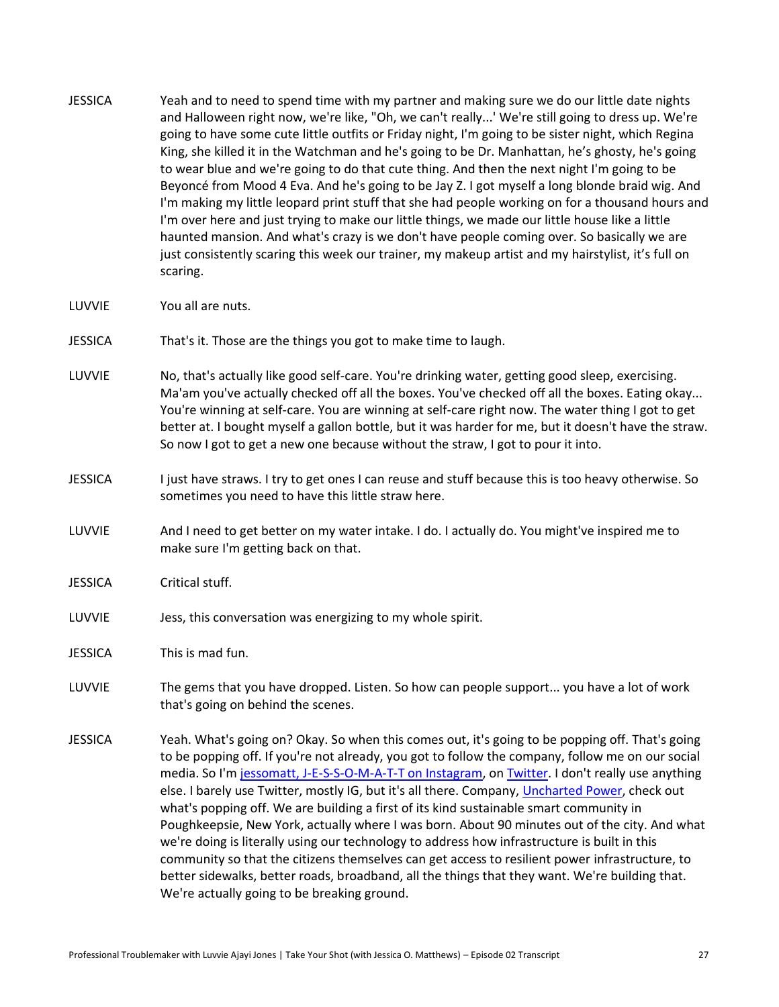- JESSICA Yeah and to need to spend time with my partner and making sure we do our little date nights and Halloween right now, we're like, "Oh, we can't really...' We're still going to dress up. We're going to have some cute little outfits or Friday night, I'm going to be sister night, which Regina King, she killed it in the Watchman and he's going to be Dr. Manhattan, he's ghosty, he's going to wear blue and we're going to do that cute thing. And then the next night I'm going to be Beyoncé from Mood 4 Eva. And he's going to be Jay Z. I got myself a long blonde braid wig. And I'm making my little leopard print stuff that she had people working on for a thousand hours and I'm over here and just trying to make our little things, we made our little house like a little haunted mansion. And what's crazy is we don't have people coming over. So basically we are just consistently scaring this week our trainer, my makeup artist and my hairstylist, it's full on scaring.
- LUVVIE You all are nuts.
- JESSICA That's it. Those are the things you got to make time to laugh.
- LUVVIE No, that's actually like good self-care. You're drinking water, getting good sleep, exercising. Ma'am you've actually checked off all the boxes. You've checked off all the boxes. Eating okay... You're winning at self-care. You are winning at self-care right now. The water thing I got to get better at. I bought myself a gallon bottle, but it was harder for me, but it doesn't have the straw. So now I got to get a new one because without the straw, I got to pour it into.
- JESSICA I just have straws. I try to get ones I can reuse and stuff because this is too heavy otherwise. So sometimes you need to have this little straw here.
- LUVVIE And I need to get better on my water intake. I do. I actually do. You might've inspired me to make sure I'm getting back on that.
- JESSICA Critical stuff.
- LUVVIE Jess, this conversation was energizing to my whole spirit.
- JESSICA This is mad fun.
- LUVVIE The gems that you have dropped. Listen. So how can people support... you have a lot of work that's going on behind the scenes.
- JESSICA Yeah. What's going on? Okay. So when this comes out, it's going to be popping off. That's going to be popping off. If you're not already, you got to follow the company, follow me on our social media. So I'm [jessomatt, J-E-S-S-O-M-A-T-T on Instagram,](https://instagram.com/jessomatt) o[n Twitter.](https://twitter.com/jessomatt) I don't really use anything else. I barely use Twitter, mostly IG, but it's all there. Company, [Uncharted Power,](https://instagram.com/unchartedpower) check out what's popping off. We are building a first of its kind sustainable smart community in Poughkeepsie, New York, actually where I was born. About 90 minutes out of the city. And what we're doing is literally using our technology to address how infrastructure is built in this community so that the citizens themselves can get access to resilient power infrastructure, to better sidewalks, better roads, broadband, all the things that they want. We're building that. We're actually going to be breaking ground.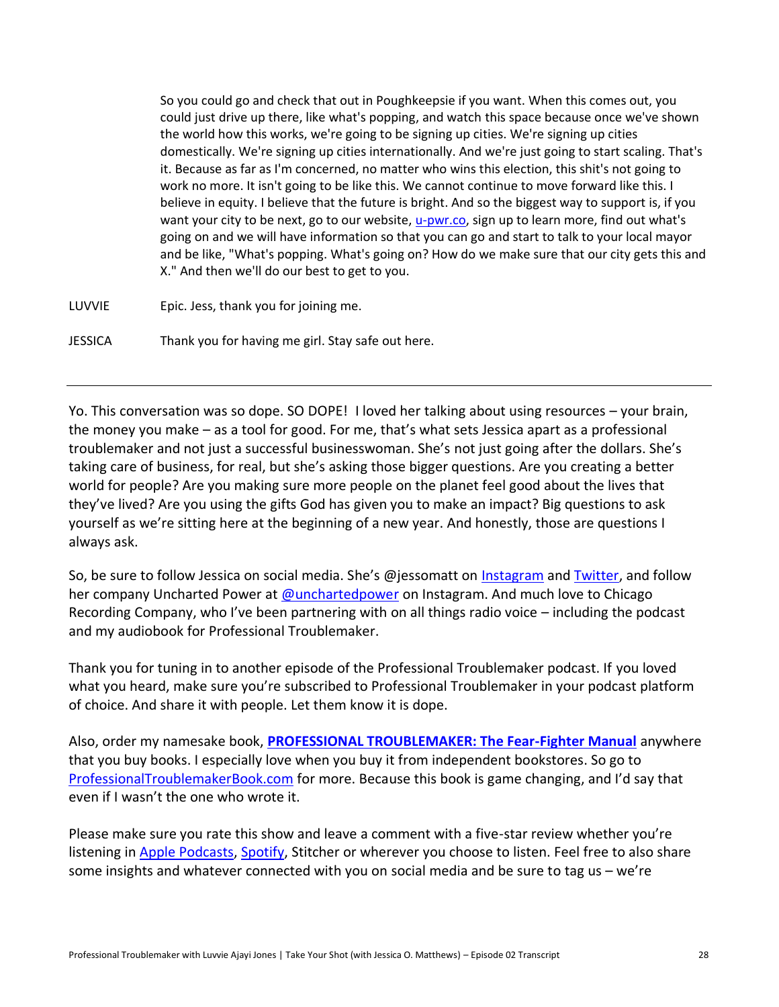So you could go and check that out in Poughkeepsie if you want. When this comes out, you could just drive up there, like what's popping, and watch this space because once we've shown the world how this works, we're going to be signing up cities. We're signing up cities domestically. We're signing up cities internationally. And we're just going to start scaling. That's it. Because as far as I'm concerned, no matter who wins this election, this shit's not going to work no more. It isn't going to be like this. We cannot continue to move forward like this. I believe in equity. I believe that the future is bright. And so the biggest way to support is, if you want your city to be next, go to our website, [u-pwr.co,](https://u-pwr.co/) sign up to learn more, find out what's going on and we will have information so that you can go and start to talk to your local mayor and be like, "What's popping. What's going on? How do we make sure that our city gets this and X." And then we'll do our best to get to you.

LUVVIE Epic. Jess, thank you for joining me.

JESSICA Thank you for having me girl. Stay safe out here.

Yo. This conversation was so dope. SO DOPE! I loved her talking about using resources – your brain, the money you make – as a tool for good. For me, that's what sets Jessica apart as a professional troublemaker and not just a successful businesswoman. She's not just going after the dollars. She's taking care of business, for real, but she's asking those bigger questions. Are you creating a better world for people? Are you making sure more people on the planet feel good about the lives that they've lived? Are you using the gifts God has given you to make an impact? Big questions to ask yourself as we're sitting here at the beginning of a new year. And honestly, those are questions I always ask.

So, be sure to follow Jessica on social media. She's @jessomatt on [Instagram](https://www.instagram.com/jessomatt/) and [Twitter,](https://twitter.com/jessomatt) and follow her company Uncharted Power at [@unchartedpower](https://www.instagram.com/unchartedpower/) on Instagram. And much love to Chicago Recording Company, who I've been partnering with on all things radio voice – including the podcast and my audiobook for Professional Troublemaker.

Thank you for tuning in to another episode of the Professional Troublemaker podcast. If you loved what you heard, make sure you're subscribed to Professional Troublemaker in your podcast platform of choice. And share it with people. Let them know it is dope.

Also, order my namesake book, **[PROFESSIONAL TROUBLEMAKER: The Fear-Fighter Manual](http://professionaltroublemakerbook.com/)** anywhere that you buy books. I especially love when you buy it from independent bookstores. So go to [ProfessionalTroublemakerBook.com](http://professionaltroublemakerbook.com/) for more. Because this book is game changing, and I'd say that even if I wasn't the one who wrote it.

Please make sure you rate this show and leave a comment with a five-star review whether you're listening i[n Apple Podcasts,](http://apple.co/luvvie) [Spotify,](https://open.spotify.com/show/2hL4Zd5E3WZIFKzXSADqBB?si=FfMJUhpmQ-aDIrS_sU_g1Q) Stitcher or wherever you choose to listen. Feel free to also share some insights and whatever connected with you on social media and be sure to tag us – we're